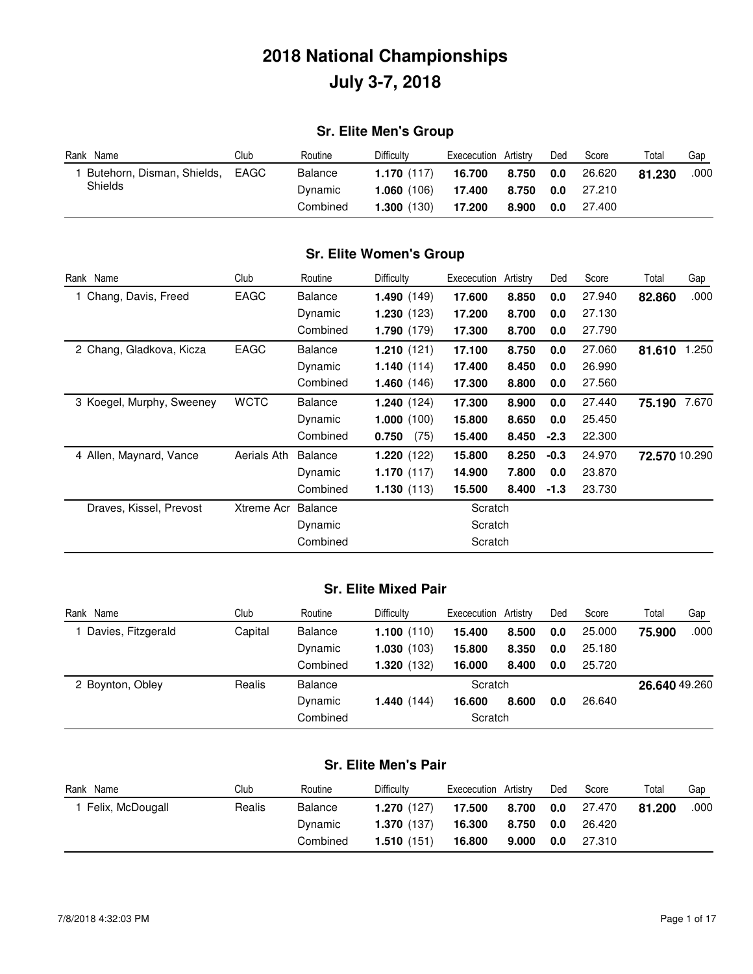### **Sr. Elite Men's Group**

| Rank Name                  | Club | Routine  | Difficulty | Exececution | Artistry | Ded | Score  | Total  | Gap  |
|----------------------------|------|----------|------------|-------------|----------|-----|--------|--------|------|
| Butehorn, Disman, Shields, | EAGC | Balance  | 1.170(117) | 16.700      | 8.750    | 0.0 | 26.620 | 81.230 | .000 |
| Shields                    |      | Dynamic  | 1.060(106) | 17.400      | 8.750    | 0.0 | 27.210 |        |      |
|                            |      | Combined | 1.300(130) | 17.200      | 8.900    | 0.0 | 27.400 |        |      |

### **Sr. Elite Women's Group**

| Rank Name                 | Club        | Routine        | Difficulty    | Exececution | Artistry | Ded    | Score  | Total         | Gap   |
|---------------------------|-------------|----------------|---------------|-------------|----------|--------|--------|---------------|-------|
| 1 Chang, Davis, Freed     | EAGC        | <b>Balance</b> | 1.490(149)    | 17.600      | 8.850    | 0.0    | 27.940 | 82.860        | .000  |
|                           |             | Dynamic        | 1.230(123)    | 17.200      | 8.700    | 0.0    | 27.130 |               |       |
|                           |             | Combined       | 1.790(179)    | 17.300      | 8.700    | 0.0    | 27.790 |               |       |
| 2 Chang, Gladkova, Kicza  | EAGC        | <b>Balance</b> | 1.210(121)    | 17.100      | 8.750    | 0.0    | 27.060 | 81.610        | 1.250 |
|                           |             | Dynamic        | 1.140(114)    | 17.400      | 8.450    | 0.0    | 26.990 |               |       |
|                           |             | Combined       | 1.460(146)    | 17.300      | 8.800    | 0.0    | 27.560 |               |       |
| 3 Koegel, Murphy, Sweeney | <b>WCTC</b> | <b>Balance</b> | 1.240(124)    | 17.300      | 8.900    | 0.0    | 27.440 | 75.190        | 7.670 |
|                           |             | Dynamic        | 1.000(100)    | 15.800      | 8.650    | 0.0    | 25.450 |               |       |
|                           |             | Combined       | (75)<br>0.750 | 15.400      | 8.450    | $-2.3$ | 22.300 |               |       |
| 4 Allen, Maynard, Vance   | Aerials Ath | Balance        | 1.220(122)    | 15.800      | 8.250    | $-0.3$ | 24.970 | 72.570 10.290 |       |
|                           |             | Dynamic        | 1.170(117)    | 14.900      | 7.800    | 0.0    | 23.870 |               |       |
|                           |             | Combined       | 1.130(113)    | 15.500      | 8.400    | $-1.3$ | 23.730 |               |       |
| Draves, Kissel, Prevost   | Xtreme Acr  | Balance        |               | Scratch     |          |        |        |               |       |
|                           |             | Dynamic        |               | Scratch     |          |        |        |               |       |
|                           |             | Combined       |               | Scratch     |          |        |        |               |       |

#### **Sr. Elite Mixed Pair**

| Rank Name          | Club    | Routine        | <b>Difficulty</b> | Exececution | Artistrv | Ded | Score  | Total         | Gap  |
|--------------------|---------|----------------|-------------------|-------------|----------|-----|--------|---------------|------|
| Davies, Fitzgerald | Capital | <b>Balance</b> | 1.100(110)        | 15.400      | 8.500    | 0.0 | 25,000 | 75.900        | .000 |
|                    |         | Dynamic        | 1.030(103)        | 15.800      | 8.350    | 0.0 | 25.180 |               |      |
|                    |         | Combined       | 1.320(132)        | 16.000      | 8.400    | 0.0 | 25.720 |               |      |
| 2 Boynton, Obley   | Realis  | <b>Balance</b> |                   | Scratch     |          |     |        | 26.640 49.260 |      |
|                    |         | Dynamic        | 1.440(144)        | 16.600      | 8.600    | 0.0 | 26.640 |               |      |
|                    |         | Combined       |                   | Scratch     |          |     |        |               |      |

### **Sr. Elite Men's Pair**

| Rank Name        | Club   | Routine  | <b>Difficulty</b> | Exececution | Artistry | Ded | Score  | Total  | Gap  |
|------------------|--------|----------|-------------------|-------------|----------|-----|--------|--------|------|
| Felix, McDougall | Realis | Balance  | 1.270(127)        | 17.500      | 8.700    | 0.0 | 27.470 | 81.200 | .000 |
|                  |        | Dynamic  | 1.370(137)        | 16.300      | 8.750    | 0.0 | 26.420 |        |      |
|                  |        | Combined | 1.510(151)        | 16.800      | 9.000    | 0.0 | 27.310 |        |      |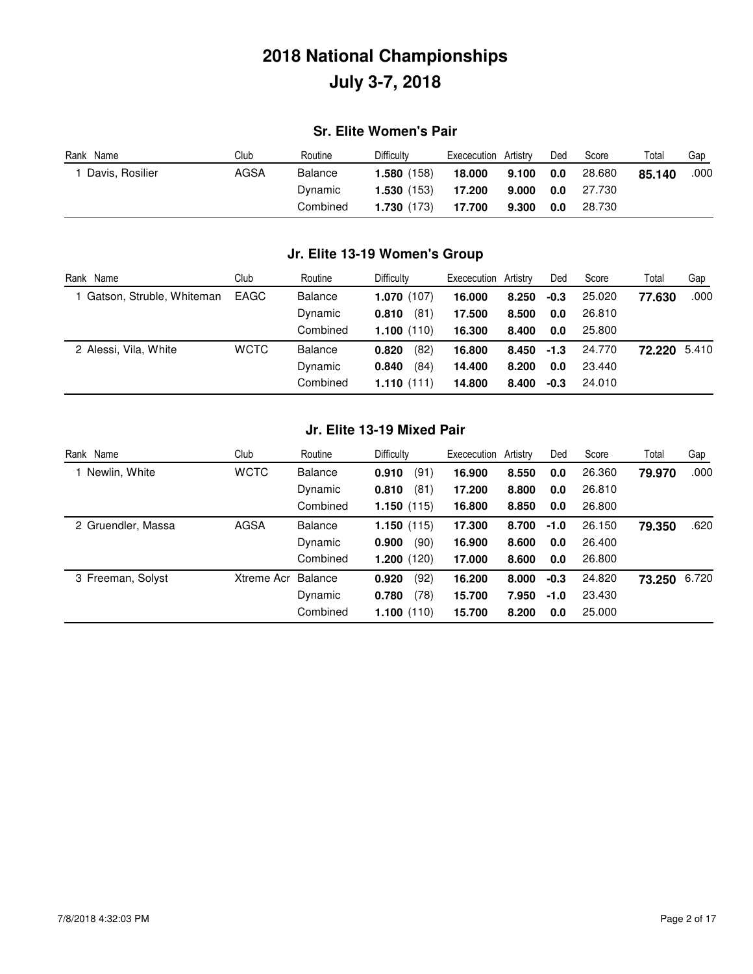### **Sr. Elite Women's Pair**

| Name<br>Rank    | Club | Routine  | Difficulty           | Exececution | Artistrv | Ded | Score  | Total  | Gap  |
|-----------------|------|----------|----------------------|-------------|----------|-----|--------|--------|------|
| Davis, Rosilier | AGSA | Balance  | <b>1.580</b> $(158)$ | 18.000      | 9.100    | 0.0 | 28,680 | 85.140 | .000 |
|                 |      | Dynamic  | 1.530 (153)          | 17.200      | 9.000    | 0.0 | 27.730 |        |      |
|                 |      | Combined | 1.730 (173)          | 17.700      | 9.300    | 0.0 | 28.730 |        |      |

### **Jr. Elite 13-19 Women's Group**

| Rank Name                   | Club        | Routine        | Difficulty    | Exececution Artistry |               | Ded    | Score  | Total        | Gap  |
|-----------------------------|-------------|----------------|---------------|----------------------|---------------|--------|--------|--------------|------|
| 1 Gatson, Struble, Whiteman | EAGC        | <b>Balance</b> | 1.070(107)    | 16.000               | 8.250         | $-0.3$ | 25.020 | 77.630       | .000 |
|                             |             | Dynamic        | (81)<br>0.810 | 17.500               | 8.500         | 0.0    | 26.810 |              |      |
|                             |             | Combined       | 1.100(110)    | 16.300               | 8.400         | 0.0    | 25.800 |              |      |
| 2 Alessi, Vila, White       | <b>WCTC</b> | <b>Balance</b> | (82)<br>0.820 | 16.800               | $8.450 - 1.3$ |        | 24.770 | 72.220 5.410 |      |
|                             |             | Dynamic        | (84)<br>0.840 | 14.400               | 8.200         | 0.0    | 23.440 |              |      |
|                             |             | Combined       | 1.110(111)    | 14.800               | 8.400         | $-0.3$ | 24.010 |              |      |

#### **Jr. Elite 13-19 Mixed Pair**

| Rank Name          | Club        | Routine        | <b>Difficulty</b> | Exececution | Artistrv | Ded    | Score  | Total        | Gap  |
|--------------------|-------------|----------------|-------------------|-------------|----------|--------|--------|--------------|------|
| Newlin, White      | <b>WCTC</b> | <b>Balance</b> | (91)<br>0.910     | 16.900      | 8.550    | 0.0    | 26.360 | 79.970       | .000 |
|                    |             | Dynamic        | (81)<br>0.810     | 17.200      | 8.800    | 0.0    | 26.810 |              |      |
|                    |             | Combined       | 1.150(115)        | 16.800      | 8.850    | 0.0    | 26,800 |              |      |
| 2 Gruendler, Massa | AGSA        | <b>Balance</b> | 1.150(115)        | 17.300      | 8.700    | $-1.0$ | 26.150 | 79.350       | .620 |
|                    |             | Dynamic        | (90)<br>0.900     | 16.900      | 8.600    | 0.0    | 26.400 |              |      |
|                    |             | Combined       | 1.200(120)        | 17.000      | 8.600    | 0.0    | 26.800 |              |      |
| 3 Freeman, Solyst  | Xtreme Acr  | Balance        | (92)<br>0.920     | 16.200      | 8.000    | $-0.3$ | 24.820 | 73.250 6.720 |      |
|                    |             | Dynamic        | (78)<br>0.780     | 15.700      | 7.950    | $-1.0$ | 23.430 |              |      |
|                    |             | Combined       | 1.100(110)        | 15.700      | 8.200    | 0.0    | 25.000 |              |      |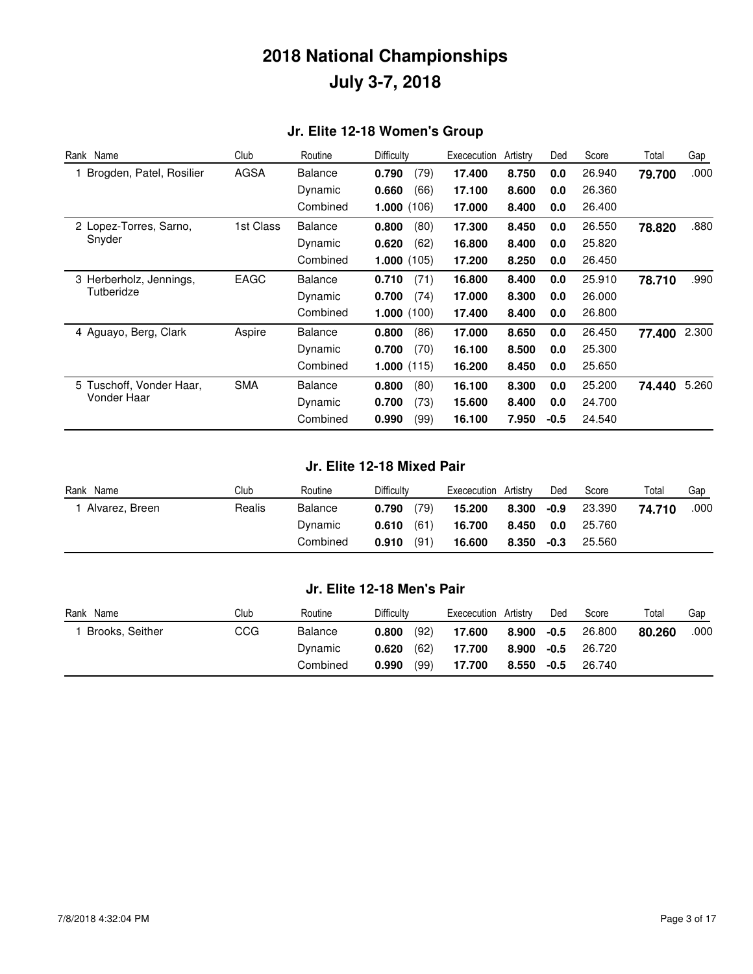### **Jr. Elite 12-18 Women's Group**

| Rank Name                             | Club        | Routine        | Difficulty    | Exececution | Artistry | Ded    | Score  | Total  | Gap   |
|---------------------------------------|-------------|----------------|---------------|-------------|----------|--------|--------|--------|-------|
| Brogden, Patel, Rosilier              | <b>AGSA</b> | <b>Balance</b> | 0.790<br>(79) | 17.400      | 8.750    | 0.0    | 26.940 | 79.700 | .000  |
|                                       |             | Dynamic        | 0.660<br>(66) | 17.100      | 8.600    | 0.0    | 26.360 |        |       |
|                                       |             | Combined       | 1.000(106)    | 17.000      | 8.400    | 0.0    | 26.400 |        |       |
| 2 Lopez-Torres, Sarno,                | 1st Class   | <b>Balance</b> | 0.800<br>(80) | 17.300      | 8.450    | 0.0    | 26.550 | 78.820 | .880  |
| Snyder                                |             | Dynamic        | 0.620<br>(62) | 16.800      | 8.400    | 0.0    | 25.820 |        |       |
|                                       |             | Combined       | 1.000(105)    | 17.200      | 8.250    | 0.0    | 26.450 |        |       |
| 3 Herberholz, Jennings,<br>Tutberidze | EAGC        | <b>Balance</b> | (71)<br>0.710 | 16.800      | 8.400    | 0.0    | 25.910 | 78.710 | .990  |
|                                       |             | Dynamic        | 0.700<br>(74) | 17.000      | 8.300    | 0.0    | 26.000 |        |       |
|                                       |             | Combined       | 1.000(100)    | 17.400      | 8.400    | 0.0    | 26.800 |        |       |
| 4 Aguayo, Berg, Clark                 | Aspire      | <b>Balance</b> | (86)<br>0.800 | 17.000      | 8.650    | 0.0    | 26.450 | 77.400 | 2.300 |
|                                       |             | Dynamic        | (70)<br>0.700 | 16.100      | 8.500    | 0.0    | 25.300 |        |       |
|                                       |             | Combined       | 1.000(115)    | 16.200      | 8.450    | 0.0    | 25.650 |        |       |
| 5 Tuschoff, Vonder Haar,              | <b>SMA</b>  | <b>Balance</b> | (80)<br>0.800 | 16.100      | 8.300    | 0.0    | 25,200 | 74.440 | 5.260 |
| Vonder Haar                           |             | Dynamic        | (73)<br>0.700 | 15.600      | 8.400    | 0.0    | 24.700 |        |       |
|                                       |             | Combined       | (99)<br>0.990 | 16.100      | 7.950    | $-0.5$ | 24.540 |        |       |

#### **Jr. Elite 12-18 Mixed Pair**

| Rank Name      | Club   | Routine  | Difficulty    | Artistry<br>Exececution | Ded  | Score  | Total  | Gap  |
|----------------|--------|----------|---------------|-------------------------|------|--------|--------|------|
| Alvarez, Breen | Realis | Balance  | (79)<br>0.790 | 15.200<br>8.300         | -0.9 | 23.390 | 74.710 | .000 |
|                |        | Dynamic  | (61)<br>0.610 | 16.700<br>8.450         | 0.0  | 25.760 |        |      |
|                |        | Combined | (91)<br>0.910 | 16.600<br>8.350         | -0.3 | 25.560 |        |      |

#### **Jr. Elite 12-18 Men's Pair**

| Name<br>Rank    | Club | Routine  | Difficulty    | Artistrv<br>Exececution | Ded    | Score  | Total  | Gap  |
|-----------------|------|----------|---------------|-------------------------|--------|--------|--------|------|
| Brooks, Seither | CCG  | Balance  | (92)<br>0.800 | 17.600<br>8.900         | $-0.5$ | 26,800 | 80.260 | .000 |
|                 |      | Dynamic  | (62)<br>0.620 | 17.700<br>8.900         | $-0.5$ | 26.720 |        |      |
|                 |      | Combined | (99)<br>0.990 | 17.700<br>8.550         | $-0.5$ | 26.740 |        |      |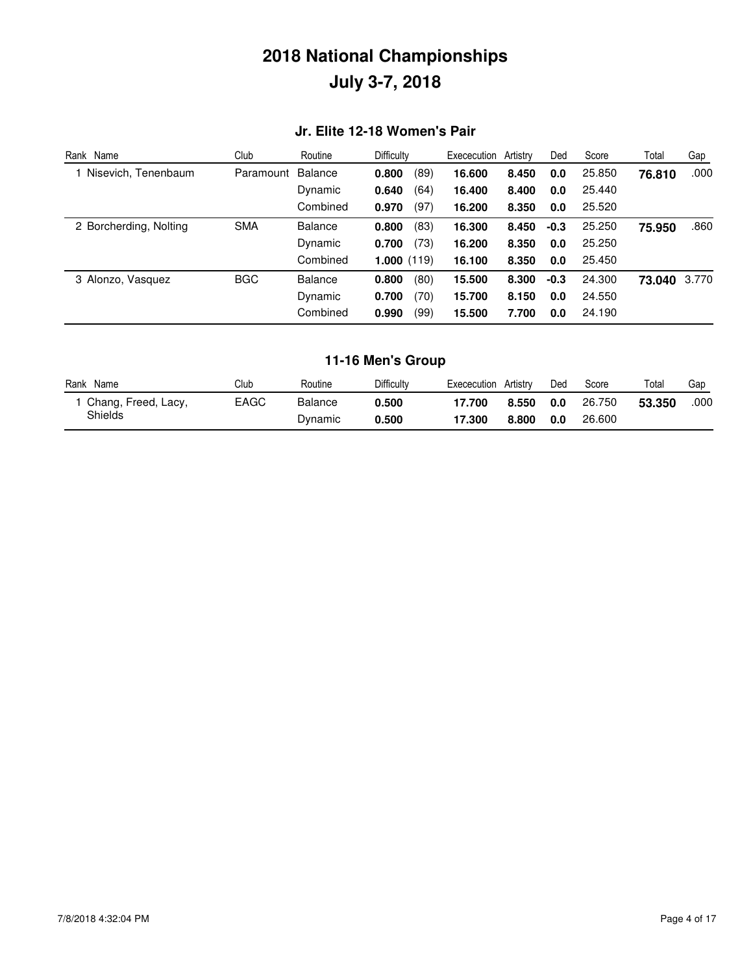### **Jr. Elite 12-18 Women's Pair**

| Rank Name                            | Club       | Routine        | Difficulty    | Exececution | Artistrv | Ded    | Score  | Total        | Gap  |
|--------------------------------------|------------|----------------|---------------|-------------|----------|--------|--------|--------------|------|
| 1 Nisevich, Tenenbaum                | Paramount  | Balance        | (89)<br>0.800 | 16,600      | 8.450    | 0.0    | 25.850 | 76.810       | .000 |
|                                      |            | Dynamic        | (64)<br>0.640 | 16.400      | 8.400    | 0.0    | 25.440 |              |      |
|                                      |            | Combined       | (97)<br>0.970 | 16.200      | 8.350    | 0.0    | 25.520 |              |      |
| <b>SMA</b><br>2 Borcherding, Nolting |            | <b>Balance</b> | (83)<br>0.800 | 16.300      | 8.450    | $-0.3$ | 25.250 | 75.950       | .860 |
|                                      |            | Dynamic        | (73)<br>0.700 | 16.200      | 8.350    | 0.0    | 25.250 |              |      |
|                                      |            | Combined       | 1.000(119)    | 16.100      | 8.350    | 0.0    | 25.450 |              |      |
| 3 Alonzo, Vasquez                    | <b>BGC</b> | <b>Balance</b> | (80)<br>0.800 | 15.500      | 8.300    | $-0.3$ | 24.300 | 73.040 3.770 |      |
|                                      | Dynamic    | (70)<br>0.700  | 15.700        | 8.150       | 0.0      | 24.550 |        |              |      |
|                                      |            | Combined       | (99)<br>0.990 | 15.500      | 7.700    | 0.0    | 24.190 |              |      |

### **11-16 Men's Group**

| Rank<br>Name        | Club | Routine | <b>Difficulty</b> | Exececution | Artistrv | Ded | Score  | Totai  | Gap  |
|---------------------|------|---------|-------------------|-------------|----------|-----|--------|--------|------|
| Chang, Freed, Lacy, | EAGC | Balance | 0.500             | 17.700      | 8.550    | 0.0 | 26.750 | 53.350 | .000 |
| <b>Shields</b>      |      | Dynamic | 0.500             | 17.300      | 8.800    | 0.0 | 26,600 |        |      |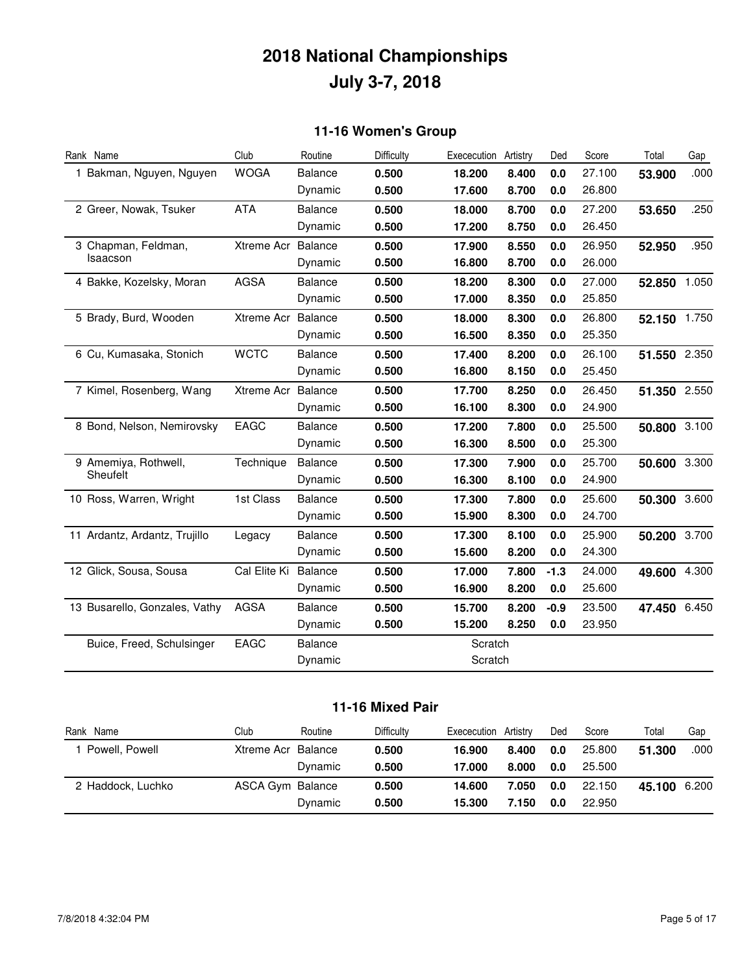### **11-16 Women's Group**

| Rank Name                     | Club         | Routine        | Difficulty | Exececution | Artistry | Ded    | Score  | Total        | Gap   |
|-------------------------------|--------------|----------------|------------|-------------|----------|--------|--------|--------------|-------|
| 1 Bakman, Nguyen, Nguyen      | <b>WOGA</b>  | <b>Balance</b> | 0.500      | 18.200      | 8.400    | 0.0    | 27.100 | 53.900       | .000  |
|                               |              | Dynamic        | 0.500      | 17.600      | 8.700    | 0.0    | 26.800 |              |       |
| 2 Greer, Nowak, Tsuker        | <b>ATA</b>   | <b>Balance</b> | 0.500      | 18.000      | 8.700    | 0.0    | 27.200 | 53.650       | .250  |
|                               |              | Dynamic        | 0.500      | 17.200      | 8.750    | 0.0    | 26.450 |              |       |
| 3 Chapman, Feldman,           | Xtreme Acr   | Balance        | 0.500      | 17,900      | 8.550    | 0.0    | 26.950 | 52.950       | .950  |
| Isaacson                      |              | Dynamic        | 0.500      | 16.800      | 8.700    | 0.0    | 26.000 |              |       |
| 4 Bakke, Kozelsky, Moran      | <b>AGSA</b>  | <b>Balance</b> | 0.500      | 18.200      | 8.300    | 0.0    | 27.000 | 52.850 1.050 |       |
|                               |              | Dynamic        | 0.500      | 17.000      | 8.350    | 0.0    | 25.850 |              |       |
| 5 Brady, Burd, Wooden         | Xtreme Acr   | Balance        | 0.500      | 18.000      | 8.300    | 0.0    | 26.800 | 52.150 1.750 |       |
|                               |              | Dynamic        | 0.500      | 16.500      | 8.350    | 0.0    | 25.350 |              |       |
| 6 Cu, Kumasaka, Stonich       | <b>WCTC</b>  | Balance        | 0.500      | 17.400      | 8.200    | 0.0    | 26.100 | 51.550 2.350 |       |
|                               |              | Dynamic        | 0.500      | 16.800      | 8.150    | 0.0    | 25.450 |              |       |
| 7 Kimel, Rosenberg, Wang      | Xtreme Acr   | Balance        | 0.500      | 17.700      | 8.250    | 0.0    | 26.450 | 51.350 2.550 |       |
|                               |              | Dynamic        | 0.500      | 16.100      | 8.300    | 0.0    | 24.900 |              |       |
| 8 Bond, Nelson, Nemirovsky    | <b>EAGC</b>  | <b>Balance</b> | 0.500      | 17.200      | 7.800    | 0.0    | 25.500 | 50.800 3.100 |       |
|                               |              | Dynamic        | 0.500      | 16.300      | 8.500    | 0.0    | 25.300 |              |       |
| 9 Amemiya, Rothwell,          | Technique    | <b>Balance</b> | 0.500      | 17.300      | 7.900    | 0.0    | 25.700 | 50.600 3.300 |       |
| Sheufelt                      |              | Dynamic        | 0.500      | 16.300      | 8.100    | 0.0    | 24.900 |              |       |
| 10 Ross, Warren, Wright       | 1st Class    | <b>Balance</b> | 0.500      | 17.300      | 7.800    | 0.0    | 25.600 | 50.300 3.600 |       |
|                               |              | Dynamic        | 0.500      | 15.900      | 8.300    | 0.0    | 24.700 |              |       |
| 11 Ardantz, Ardantz, Trujillo | Legacy       | <b>Balance</b> | 0.500      | 17.300      | 8.100    | 0.0    | 25.900 | 50.200 3.700 |       |
|                               |              | Dynamic        | 0.500      | 15.600      | 8.200    | 0.0    | 24.300 |              |       |
| 12 Glick, Sousa, Sousa        | Cal Elite Ki | <b>Balance</b> | 0.500      | 17.000      | 7.800    | $-1.3$ | 24.000 | 49.600       | 4.300 |
|                               |              | Dynamic        | 0.500      | 16.900      | 8.200    | 0.0    | 25.600 |              |       |
| 13 Busarello, Gonzales, Vathy | <b>AGSA</b>  | <b>Balance</b> | 0.500      | 15.700      | 8.200    | $-0.9$ | 23.500 | 47.450       | 6.450 |
|                               |              | Dynamic        | 0.500      | 15.200      | 8.250    | 0.0    | 23.950 |              |       |
| Buice, Freed, Schulsinger     | EAGC         | <b>Balance</b> |            | Scratch     |          |        |        |              |       |
|                               |              | Dynamic        |            | Scratch     |          |        |        |              |       |

### **11-16 Mixed Pair**

| Rank Name         | Club               | Routine | Difficulty | Exececution Artistry |       | Ded | Score  | Total        | Gap  |
|-------------------|--------------------|---------|------------|----------------------|-------|-----|--------|--------------|------|
| Powell, Powell    | Xtreme Acr Balance |         | 0.500      | 16.900               | 8.400 | 0.0 | 25.800 | 51.300       | .000 |
|                   |                    | Dynamic | 0.500      | 17.000               | 8.000 | 0.0 | 25.500 |              |      |
| 2 Haddock, Luchko | ASCA Gym Balance   |         | 0.500      | 14.600               | 7.050 | 0.0 | 22.150 | 45.100 6.200 |      |
|                   |                    | Dynamic | 0.500      | 15.300               | 7.150 | 0.0 | 22,950 |              |      |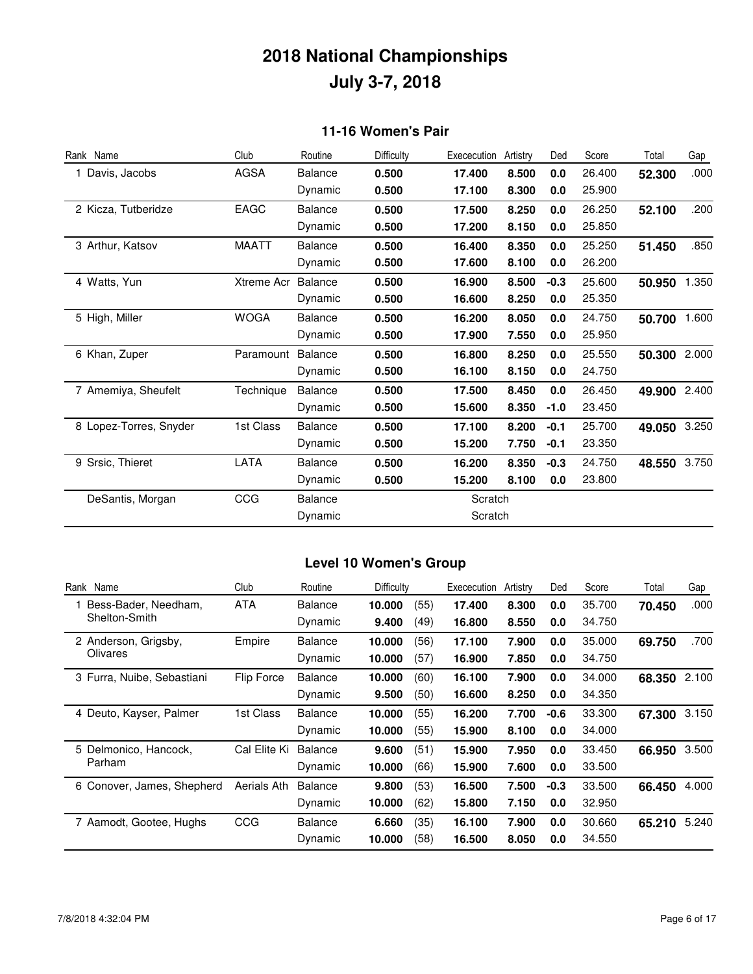### **11-16 Women's Pair**

| Rank Name              | Club         | Routine        | <b>Difficulty</b> | Exececution | Artistry | Ded    | Score  | Total  | Gap   |
|------------------------|--------------|----------------|-------------------|-------------|----------|--------|--------|--------|-------|
| 1 Davis, Jacobs        | <b>AGSA</b>  | <b>Balance</b> | 0.500             | 17.400      | 8.500    | 0.0    | 26.400 | 52.300 | .000  |
|                        |              | Dynamic        | 0.500             | 17.100      | 8.300    | 0.0    | 25.900 |        |       |
| 2 Kicza, Tutberidze    | EAGC         | <b>Balance</b> | 0.500             | 17.500      | 8.250    | 0.0    | 26.250 | 52.100 | .200  |
|                        |              | Dynamic        | 0.500             | 17.200      | 8.150    | 0.0    | 25.850 |        |       |
| 3 Arthur, Katsov       | <b>MAATT</b> | <b>Balance</b> | 0.500             | 16.400      | 8.350    | 0.0    | 25.250 | 51.450 | .850  |
|                        |              | Dynamic        | 0.500             | 17.600      | 8.100    | 0.0    | 26.200 |        |       |
| 4 Watts, Yun           | Xtreme Acr   | <b>Balance</b> | 0.500             | 16.900      | 8.500    | $-0.3$ | 25.600 | 50.950 | 1.350 |
|                        |              | Dynamic        | 0.500             | 16.600      | 8.250    | 0.0    | 25.350 |        |       |
| 5 High, Miller         | <b>WOGA</b>  | <b>Balance</b> | 0.500             | 16.200      | 8.050    | 0.0    | 24.750 | 50.700 | 1.600 |
|                        |              | Dynamic        | 0.500             | 17.900      | 7.550    | 0.0    | 25.950 |        |       |
| 6 Khan, Zuper          | Paramount    | <b>Balance</b> | 0.500             | 16,800      | 8.250    | 0.0    | 25.550 | 50.300 | 2.000 |
|                        |              | Dynamic        | 0.500             | 16.100      | 8.150    | 0.0    | 24.750 |        |       |
| 7 Amemiya, Sheufelt    | Technique    | <b>Balance</b> | 0.500             | 17.500      | 8.450    | 0.0    | 26.450 | 49.900 | 2.400 |
|                        |              | Dynamic        | 0.500             | 15.600      | 8.350    | $-1.0$ | 23.450 |        |       |
| 8 Lopez-Torres, Snyder | 1st Class    | <b>Balance</b> | 0.500             | 17.100      | 8.200    | $-0.1$ | 25.700 | 49.050 | 3.250 |
|                        |              | Dynamic        | 0.500             | 15.200      | 7.750    | $-0.1$ | 23.350 |        |       |
| 9 Srsic, Thieret       | LATA         | <b>Balance</b> | 0.500             | 16.200      | 8.350    | $-0.3$ | 24.750 | 48.550 | 3.750 |
|                        |              | Dynamic        | 0.500             | 15.200      | 8.100    | 0.0    | 23.800 |        |       |
| DeSantis, Morgan       | CCG          | <b>Balance</b> |                   | Scratch     |          |        |        |        |       |
|                        |              | Dynamic        |                   | Scratch     |          |        |        |        |       |

### **Level 10 Women's Group**

| Rank Name                  | Club         | Routine        | <b>Difficulty</b> |      | Exececution | Artistry | Ded    | Score  | Total  | Gap   |
|----------------------------|--------------|----------------|-------------------|------|-------------|----------|--------|--------|--------|-------|
| Bess-Bader, Needham,       | <b>ATA</b>   | <b>Balance</b> | 10.000            | (55) | 17.400      | 8.300    | 0.0    | 35.700 | 70.450 | .000  |
| Shelton-Smith              |              | Dynamic        | 9.400             | (49) | 16.800      | 8.550    | 0.0    | 34.750 |        |       |
| 2 Anderson, Grigsby,       | Empire       | <b>Balance</b> | 10.000            | (56) | 17.100      | 7.900    | 0.0    | 35.000 | 69.750 | .700  |
| Olivares                   |              | Dynamic        | 10.000            | (57) | 16.900      | 7.850    | 0.0    | 34.750 |        |       |
| 3 Furra, Nuibe, Sebastiani | Flip Force   | <b>Balance</b> | 10.000            | (60) | 16.100      | 7.900    | 0.0    | 34.000 | 68.350 | 2.100 |
|                            |              | Dynamic        | 9.500             | (50) | 16.600      | 8.250    | 0.0    | 34.350 |        |       |
| 4 Deuto, Kayser, Palmer    | 1st Class    | <b>Balance</b> | 10.000            | (55) | 16.200      | 7.700    | $-0.6$ | 33.300 | 67.300 | 3.150 |
|                            |              | Dynamic        | 10.000            | (55) | 15.900      | 8.100    | 0.0    | 34.000 |        |       |
| 5 Delmonico, Hancock,      | Cal Elite Ki | <b>Balance</b> | 9.600             | (51) | 15.900      | 7.950    | 0.0    | 33.450 | 66.950 | 3.500 |
| Parham                     |              | Dynamic        | 10.000            | (66) | 15.900      | 7.600    | 0.0    | 33.500 |        |       |
| 6 Conover, James, Shepherd | Aerials Ath  | <b>Balance</b> | 9.800             | (53) | 16.500      | 7.500    | $-0.3$ | 33.500 | 66.450 | 4.000 |
|                            |              | Dynamic        | 10.000            | (62) | 15.800      | 7.150    | 0.0    | 32.950 |        |       |
| 7 Aamodt, Gootee, Hughs    | <b>CCG</b>   | <b>Balance</b> | 6.660             | (35) | 16.100      | 7.900    | 0.0    | 30.660 | 65.210 | 5.240 |
|                            |              | Dynamic        | 10.000            | (58) | 16.500      | 8.050    | 0.0    | 34.550 |        |       |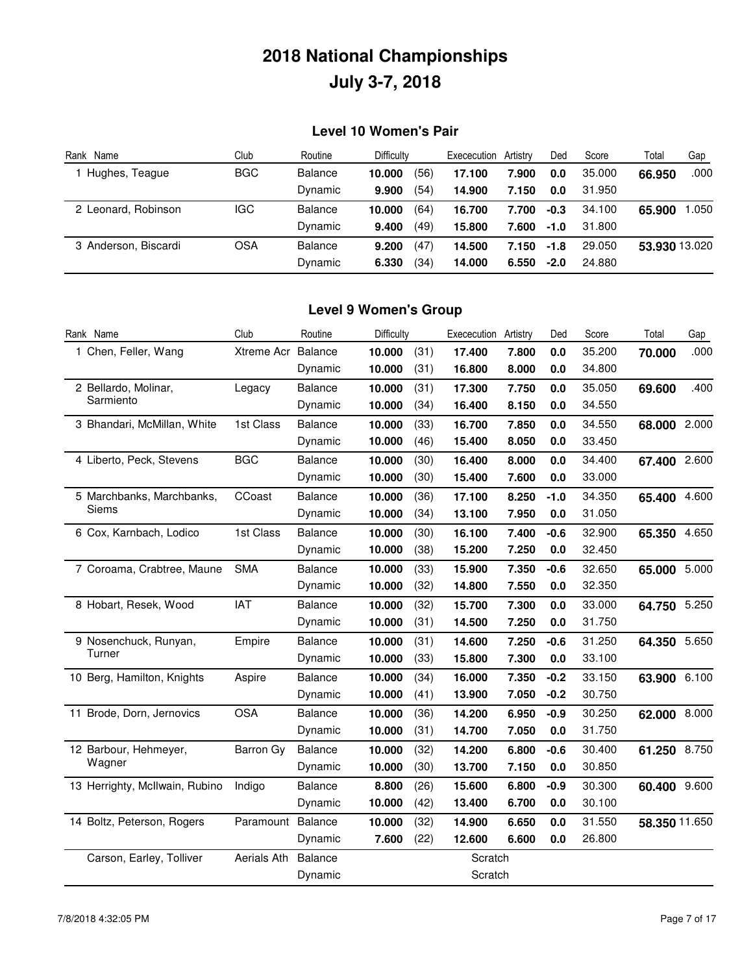### **Level 10 Women's Pair**

| Rank Name            | Club       | Routine        | Difficulty     | Exececution | Artistrv | Ded    | Score  | Total         | Gap    |
|----------------------|------------|----------------|----------------|-------------|----------|--------|--------|---------------|--------|
| Hughes, Teague       | <b>BGC</b> | <b>Balance</b> | (56)<br>10.000 | 17.100      | 7.900    | 0.0    | 35,000 | 66.950        | .000   |
|                      |            | Dynamic        | (54)<br>9.900  | 14.900      | 7.150    | 0.0    | 31.950 |               |        |
| 2 Leonard, Robinson  | IGC        | <b>Balance</b> | (64)<br>10.000 | 16.700      | 7.700    | $-0.3$ | 34.100 | 65.900        | 050. ا |
|                      |            | Dynamic        | (49)<br>9.400  | 15,800      | 7.600    | $-1.0$ | 31.800 |               |        |
| 3 Anderson, Biscardi | <b>OSA</b> | <b>Balance</b> | (47)<br>9.200  | 14.500      | 7.150    | $-1.8$ | 29.050 | 53.930 13.020 |        |
|                      |            | Dynamic        | (34)<br>6.330  | 14.000      | 6.550    | $-2.0$ | 24.880 |               |        |

#### **Level 9 Women's Group**

| Rank Name                      | Club        | Routine        | Difficulty |      | Exececution | Artistry | Ded     | Score  | Total         | Gap   |
|--------------------------------|-------------|----------------|------------|------|-------------|----------|---------|--------|---------------|-------|
| 1 Chen, Feller, Wang           | Xtreme Acr  | Balance        | 10.000     | (31) | 17.400      | 7.800    | 0.0     | 35.200 | 70.000        | .000  |
|                                |             | Dynamic        | 10.000     | (31) | 16.800      | 8.000    | 0.0     | 34.800 |               |       |
| 2 Bellardo, Molinar,           | Legacy      | <b>Balance</b> | 10.000     | (31) | 17.300      | 7.750    | 0.0     | 35.050 | 69.600        | .400  |
| Sarmiento                      |             | Dynamic        | 10.000     | (34) | 16.400      | 8.150    | 0.0     | 34.550 |               |       |
| 3 Bhandari, McMillan, White    | 1st Class   | <b>Balance</b> | 10.000     | (33) | 16.700      | 7.850    | 0.0     | 34.550 | 68.000        | 2.000 |
|                                |             | Dynamic        | 10.000     | (46) | 15.400      | 8.050    | 0.0     | 33.450 |               |       |
| 4 Liberto, Peck, Stevens       | <b>BGC</b>  | <b>Balance</b> | 10.000     | (30) | 16.400      | 8.000    | 0.0     | 34.400 | 67.400        | 2.600 |
|                                |             | Dynamic        | 10.000     | (30) | 15.400      | 7.600    | 0.0     | 33.000 |               |       |
| 5 Marchbanks, Marchbanks,      | CCoast      | <b>Balance</b> | 10.000     | (36) | 17.100      | 8.250    | $-1.0$  | 34.350 | 65.400        | 4.600 |
| Siems                          |             | Dynamic        | 10.000     | (34) | 13.100      | 7.950    | $0.0\,$ | 31.050 |               |       |
| 6 Cox, Karnbach, Lodico        | 1st Class   | <b>Balance</b> | 10.000     | (30) | 16.100      | 7.400    | $-0.6$  | 32.900 | 65.350        | 4.650 |
|                                |             | Dynamic        | 10.000     | (38) | 15.200      | 7.250    | 0.0     | 32.450 |               |       |
| 7 Coroama, Crabtree, Maune     | <b>SMA</b>  | <b>Balance</b> | 10.000     | (33) | 15.900      | 7.350    | $-0.6$  | 32.650 | 65.000        | 5.000 |
|                                |             | Dynamic        | 10.000     | (32) | 14.800      | 7.550    | 0.0     | 32.350 |               |       |
| 8 Hobart, Resek, Wood          | <b>IAT</b>  | <b>Balance</b> | 10.000     | (32) | 15.700      | 7.300    | 0.0     | 33.000 | 64.750        | 5.250 |
|                                |             | Dynamic        | 10.000     | (31) | 14.500      | 7.250    | 0.0     | 31.750 |               |       |
| 9 Nosenchuck, Runyan,          | Empire      | <b>Balance</b> | 10.000     | (31) | 14.600      | 7.250    | $-0.6$  | 31.250 | 64.350        | 5.650 |
| Turner                         |             | Dynamic        | 10.000     | (33) | 15.800      | 7.300    | 0.0     | 33.100 |               |       |
| 10 Berg, Hamilton, Knights     | Aspire      | <b>Balance</b> | 10.000     | (34) | 16.000      | 7.350    | $-0.2$  | 33.150 | 63.900        | 6.100 |
|                                |             | Dynamic        | 10.000     | (41) | 13.900      | 7.050    | $-0.2$  | 30.750 |               |       |
| 11 Brode, Dorn, Jernovics      | <b>OSA</b>  | <b>Balance</b> | 10.000     | (36) | 14.200      | 6.950    | $-0.9$  | 30.250 | 62.000 8.000  |       |
|                                |             | Dynamic        | 10.000     | (31) | 14.700      | 7.050    | 0.0     | 31.750 |               |       |
| 12 Barbour, Hehmeyer,          | Barron Gy   | <b>Balance</b> | 10.000     | (32) | 14.200      | 6.800    | $-0.6$  | 30.400 | 61.250 8.750  |       |
| Wagner                         |             | Dynamic        | 10.000     | (30) | 13.700      | 7.150    | 0.0     | 30.850 |               |       |
| 13 Herrighty, McIlwain, Rubino | Indigo      | <b>Balance</b> | 8.800      | (26) | 15.600      | 6.800    | $-0.9$  | 30.300 | 60.400        | 9.600 |
|                                |             | Dynamic        | 10.000     | (42) | 13.400      | 6.700    | 0.0     | 30.100 |               |       |
| 14 Boltz, Peterson, Rogers     | Paramount   | Balance        | 10.000     | (32) | 14.900      | 6.650    | 0.0     | 31.550 | 58.350 11.650 |       |
|                                |             | Dynamic        | 7.600      | (22) | 12.600      | 6.600    | 0.0     | 26.800 |               |       |
| Carson, Earley, Tolliver       | Aerials Ath | <b>Balance</b> |            |      | Scratch     |          |         |        |               |       |
|                                |             | Dynamic        |            |      | Scratch     |          |         |        |               |       |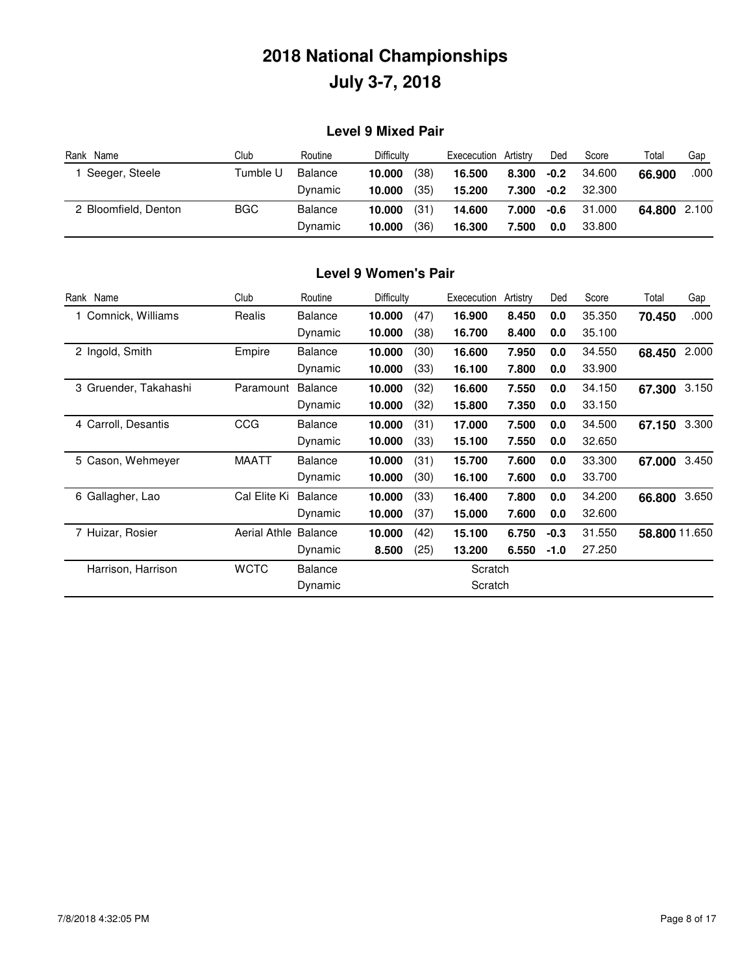### **Level 9 Mixed Pair**

| Rank Name            | Club       | Routine | <b>Difficulty</b> | Artistry<br>Exececution | Ded    | Score  | Total        | Gap  |
|----------------------|------------|---------|-------------------|-------------------------|--------|--------|--------------|------|
| Seeger, Steele       | Tumble U   | Balance | (38)<br>10.000    | 16.500<br>8.300         | $-0.2$ | 34.600 | 66.900       | .000 |
|                      |            | Dynamic | (35)<br>10.000    | 15.200<br>7.300         | $-0.2$ | 32,300 |              |      |
| 2 Bloomfield, Denton | <b>BGC</b> | Balance | (31)<br>10.000    | 14.600<br>7.000         | -0.6   | 31.000 | 64.800 2.100 |      |
|                      |            | Dynamic | (36)<br>10.000    | 16.300<br>7.500         | 0.0    | 33,800 |              |      |

### **Level 9 Women's Pair**

| Rank Name             | Club                | Routine        | Difficulty |      | Exececution | Artistry | Ded    | Score  | Total         | Gap   |
|-----------------------|---------------------|----------------|------------|------|-------------|----------|--------|--------|---------------|-------|
| Comnick, Williams     | Realis              | <b>Balance</b> | 10.000     | (47) | 16.900      | 8.450    | 0.0    | 35.350 | 70.450        | .000  |
|                       |                     | Dynamic        | 10.000     | (38) | 16.700      | 8.400    | 0.0    | 35.100 |               |       |
| 2 Ingold, Smith       | Empire              | <b>Balance</b> | 10.000     | (30) | 16.600      | 7.950    | 0.0    | 34.550 | 68.450        | 2.000 |
|                       |                     | Dynamic        | 10.000     | (33) | 16.100      | 7.800    | 0.0    | 33.900 |               |       |
| 3 Gruender, Takahashi | Paramount           | <b>Balance</b> | 10.000     | (32) | 16.600      | 7.550    | 0.0    | 34.150 | 67.300        | 3.150 |
|                       |                     | Dynamic        | 10.000     | (32) | 15.800      | 7.350    | 0.0    | 33.150 |               |       |
| 4 Carroll, Desantis   | CCG                 | <b>Balance</b> | 10.000     | (31) | 17.000      | 7.500    | 0.0    | 34.500 | 67.150        | 3.300 |
|                       |                     | Dynamic        | 10.000     | (33) | 15.100      | 7.550    | 0.0    | 32.650 |               |       |
| 5 Cason, Wehmeyer     | <b>MAATT</b>        | <b>Balance</b> | 10.000     | (31) | 15.700      | 7.600    | 0.0    | 33.300 | 67.000        | 3.450 |
|                       |                     | Dynamic        | 10.000     | (30) | 16.100      | 7.600    | 0.0    | 33.700 |               |       |
| 6 Gallagher, Lao      | Cal Elite Ki        | <b>Balance</b> | 10.000     | (33) | 16.400      | 7.800    | 0.0    | 34.200 | 66.800        | 3.650 |
|                       |                     | Dynamic        | 10.000     | (37) | 15.000      | 7.600    | 0.0    | 32.600 |               |       |
| 7 Huizar, Rosier      | <b>Aerial Athle</b> | Balance        | 10.000     | (42) | 15.100      | 6.750    | $-0.3$ | 31.550 | 58.800 11.650 |       |
|                       |                     | Dynamic        | 8.500      | (25) | 13.200      | 6.550    | $-1.0$ | 27.250 |               |       |
| Harrison, Harrison    | <b>WCTC</b>         | <b>Balance</b> |            |      | Scratch     |          |        |        |               |       |
|                       |                     | Dynamic        |            |      | Scratch     |          |        |        |               |       |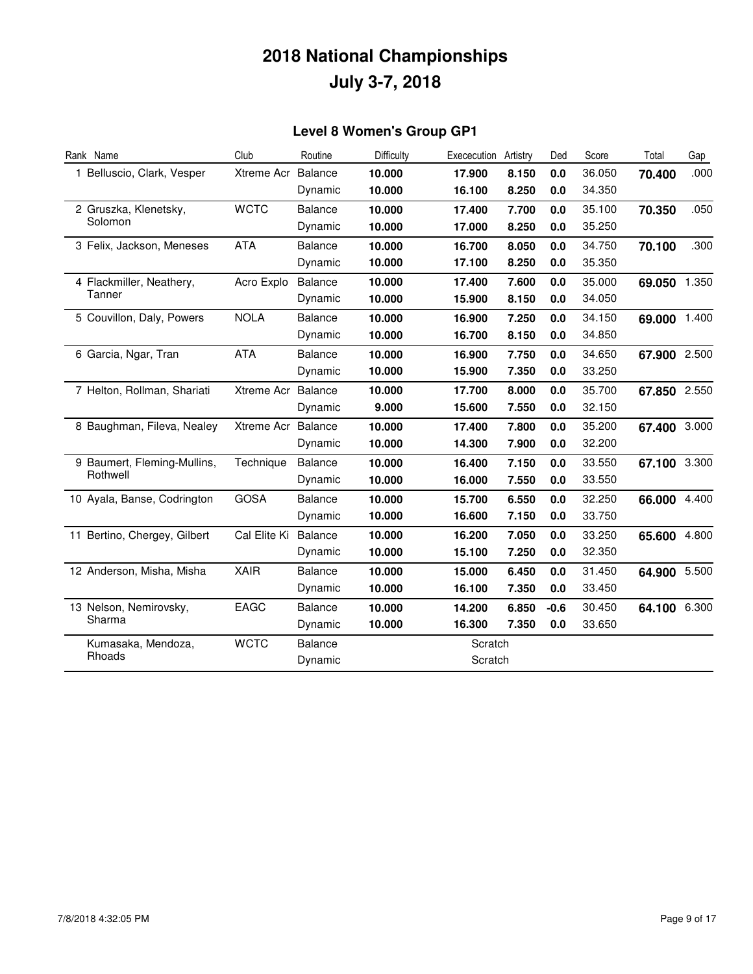### **Level 8 Women's Group GP1**

| Rank Name                    | Club               | Routine        | Difficulty | Exececution | Artistry | Ded    | Score  | Total        | Gap   |
|------------------------------|--------------------|----------------|------------|-------------|----------|--------|--------|--------------|-------|
| 1 Belluscio, Clark, Vesper   | Xtreme Acr         | Balance        | 10.000     | 17.900      | 8.150    | 0.0    | 36.050 | 70.400       | .000  |
|                              |                    | Dynamic        | 10.000     | 16.100      | 8.250    | 0.0    | 34.350 |              |       |
| 2 Gruszka, Klenetsky,        | <b>WCTC</b>        | <b>Balance</b> | 10.000     | 17.400      | 7.700    | 0.0    | 35.100 | 70.350       | .050  |
| Solomon                      |                    | Dynamic        | 10.000     | 17.000      | 8.250    | 0.0    | 35.250 |              |       |
| 3 Felix, Jackson, Meneses    | <b>ATA</b>         | <b>Balance</b> | 10.000     | 16.700      | 8.050    | 0.0    | 34.750 | 70.100       | .300  |
|                              |                    | Dynamic        | 10.000     | 17.100      | 8.250    | 0.0    | 35.350 |              |       |
| 4 Flackmiller, Neathery,     | Acro Explo         | <b>Balance</b> | 10.000     | 17.400      | 7.600    | 0.0    | 35.000 | 69.050 1.350 |       |
| Tanner                       |                    | Dynamic        | 10.000     | 15.900      | 8.150    | 0.0    | 34.050 |              |       |
| 5 Couvillon, Daly, Powers    | <b>NOLA</b>        | <b>Balance</b> | 10.000     | 16.900      | 7.250    | 0.0    | 34.150 | 69.000 1.400 |       |
|                              |                    | Dynamic        | 10.000     | 16.700      | 8.150    | 0.0    | 34.850 |              |       |
| 6 Garcia, Ngar, Tran         | <b>ATA</b>         | Balance        | 10.000     | 16.900      | 7.750    | 0.0    | 34.650 | 67.900 2.500 |       |
|                              |                    | Dynamic        | 10.000     | 15.900      | 7.350    | 0.0    | 33.250 |              |       |
| 7 Helton, Rollman, Shariati  | Xtreme Acr         | Balance        | 10.000     | 17.700      | 8.000    | 0.0    | 35.700 | 67.850 2.550 |       |
|                              |                    | Dynamic        | 9.000      | 15.600      | 7.550    | 0.0    | 32.150 |              |       |
| 8 Baughman, Fileva, Nealey   | Xtreme Acr Balance |                | 10.000     | 17.400      | 7.800    | 0.0    | 35.200 | 67.400 3.000 |       |
|                              |                    | Dynamic        | 10.000     | 14.300      | 7.900    | 0.0    | 32.200 |              |       |
| 9 Baumert, Fleming-Mullins,  | Technique          | <b>Balance</b> | 10.000     | 16.400      | 7.150    | 0.0    | 33.550 | 67.100 3.300 |       |
| Rothwell                     |                    | Dynamic        | 10.000     | 16.000      | 7.550    | 0.0    | 33.550 |              |       |
| 10 Ayala, Banse, Codrington  | <b>GOSA</b>        | <b>Balance</b> | 10.000     | 15.700      | 6.550    | 0.0    | 32.250 | 66.000       | 4.400 |
|                              |                    | Dynamic        | 10.000     | 16.600      | 7.150    | 0.0    | 33.750 |              |       |
| 11 Bertino, Chergey, Gilbert | Cal Elite Ki       | <b>Balance</b> | 10.000     | 16.200      | 7.050    | 0.0    | 33.250 | 65.600       | 4.800 |
|                              |                    | Dynamic        | 10.000     | 15.100      | 7.250    | 0.0    | 32.350 |              |       |
| 12 Anderson, Misha, Misha    | <b>XAIR</b>        | <b>Balance</b> | 10.000     | 15.000      | 6.450    | 0.0    | 31.450 | 64.900 5.500 |       |
|                              |                    | Dynamic        | 10.000     | 16.100      | 7.350    | 0.0    | 33.450 |              |       |
| 13 Nelson, Nemirovsky,       | EAGC               | <b>Balance</b> | 10.000     | 14.200      | 6.850    | $-0.6$ | 30.450 | 64.100 6.300 |       |
| Sharma                       |                    | Dynamic        | 10.000     | 16.300      | 7.350    | 0.0    | 33.650 |              |       |
| Kumasaka, Mendoza,           | <b>WCTC</b>        | <b>Balance</b> |            | Scratch     |          |        |        |              |       |
| Rhoads                       |                    | Dynamic        |            | Scratch     |          |        |        |              |       |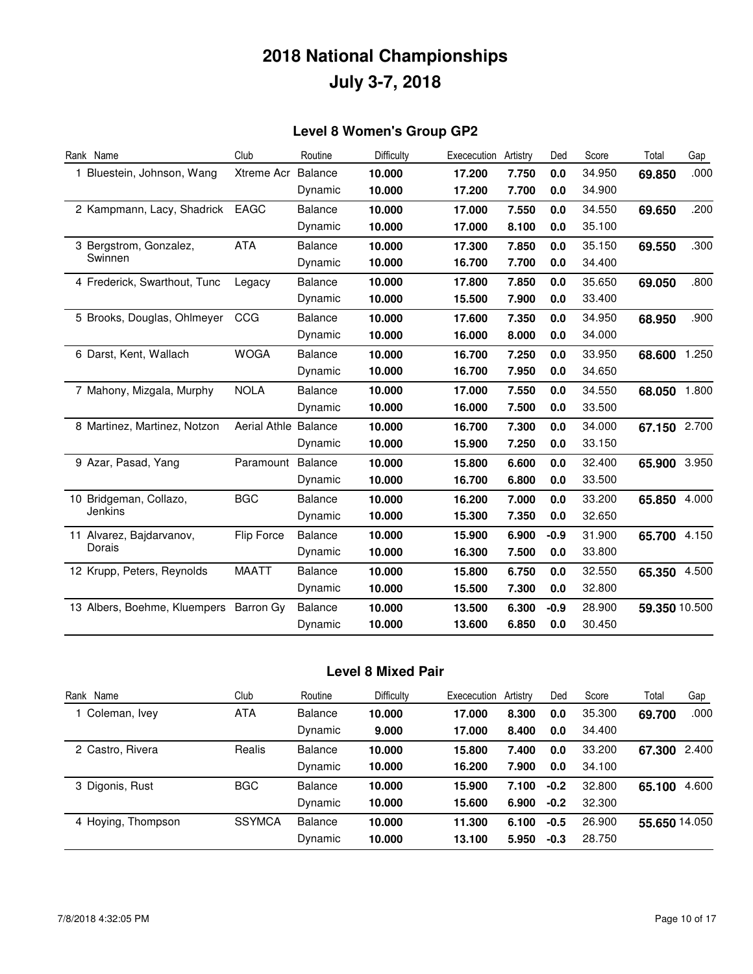### **Level 8 Women's Group GP2**

| Rank Name                    | Club                | Routine        | Difficulty | Exececution | Artistry | Ded    | Score  | Total         | Gap   |
|------------------------------|---------------------|----------------|------------|-------------|----------|--------|--------|---------------|-------|
| 1 Bluestein, Johnson, Wang   | Xtreme Acr          | <b>Balance</b> | 10.000     | 17.200      | 7.750    | 0.0    | 34.950 | 69.850        | .000  |
|                              |                     | Dynamic        | 10.000     | 17.200      | 7.700    | 0.0    | 34.900 |               |       |
| 2 Kampmann, Lacy, Shadrick   | <b>EAGC</b>         | <b>Balance</b> | 10.000     | 17.000      | 7.550    | 0.0    | 34.550 | 69.650        | .200  |
|                              |                     | Dynamic        | 10.000     | 17.000      | 8.100    | 0.0    | 35.100 |               |       |
| 3 Bergstrom, Gonzalez,       | <b>ATA</b>          | <b>Balance</b> | 10.000     | 17.300      | 7.850    | 0.0    | 35.150 | 69.550        | .300  |
| Swinnen                      |                     | Dynamic        | 10.000     | 16.700      | 7.700    | 0.0    | 34.400 |               |       |
| 4 Frederick, Swarthout, Tunc | Legacy              | <b>Balance</b> | 10.000     | 17,800      | 7.850    | 0.0    | 35.650 | 69.050        | .800  |
|                              |                     | Dynamic        | 10.000     | 15.500      | 7.900    | 0.0    | 33.400 |               |       |
| 5 Brooks, Douglas, Ohlmeyer  | CCG                 | <b>Balance</b> | 10.000     | 17,600      | 7.350    | 0.0    | 34.950 | 68.950        | .900  |
|                              |                     | Dynamic        | 10.000     | 16.000      | 8.000    | 0.0    | 34.000 |               |       |
| 6 Darst, Kent, Wallach       | <b>WOGA</b>         | <b>Balance</b> | 10.000     | 16.700      | 7.250    | 0.0    | 33.950 | 68.600        | 1.250 |
|                              |                     | Dynamic        | 10.000     | 16.700      | 7.950    | 0.0    | 34.650 |               |       |
| 7 Mahony, Mizgala, Murphy    | <b>NOLA</b>         | <b>Balance</b> | 10.000     | 17.000      | 7.550    | 0.0    | 34.550 | 68.050        | 1.800 |
|                              |                     | Dynamic        | 10.000     | 16.000      | 7.500    | 0.0    | 33.500 |               |       |
| 8 Martinez, Martinez, Notzon | <b>Aerial Athle</b> | Balance        | 10.000     | 16.700      | 7.300    | 0.0    | 34.000 | 67.150        | 2.700 |
|                              |                     | Dynamic        | 10.000     | 15.900      | 7.250    | 0.0    | 33.150 |               |       |
| 9 Azar, Pasad, Yang          | Paramount           | <b>Balance</b> | 10.000     | 15,800      | 6.600    | 0.0    | 32.400 | 65.900        | 3.950 |
|                              |                     | Dynamic        | 10.000     | 16.700      | 6.800    | 0.0    | 33.500 |               |       |
| 10 Bridgeman, Collazo,       | <b>BGC</b>          | <b>Balance</b> | 10.000     | 16.200      | 7.000    | 0.0    | 33.200 | 65.850        | 4.000 |
| Jenkins                      |                     | Dynamic        | 10.000     | 15,300      | 7.350    | 0.0    | 32.650 |               |       |
| 11 Alvarez, Bajdarvanov,     | Flip Force          | <b>Balance</b> | 10.000     | 15,900      | 6.900    | $-0.9$ | 31.900 | 65.700        | 4.150 |
| Dorais                       |                     | Dynamic        | 10.000     | 16.300      | 7.500    | 0.0    | 33.800 |               |       |
| 12 Krupp, Peters, Reynolds   | <b>MAATT</b>        | <b>Balance</b> | 10.000     | 15,800      | 6.750    | 0.0    | 32.550 | 65.350        | 4.500 |
|                              |                     | Dynamic        | 10.000     | 15.500      | 7.300    | 0.0    | 32,800 |               |       |
| 13 Albers, Boehme, Kluempers | Barron Gy           | <b>Balance</b> | 10.000     | 13.500      | 6.300    | $-0.9$ | 28.900 | 59.350 10.500 |       |
|                              |                     | Dynamic        | 10.000     | 13.600      | 6.850    | 0.0    | 30.450 |               |       |

### **Level 8 Mixed Pair**

| Rank Name          | Club          | Routine        | Difficulty | Exececution | Artistry | Ded    | Score  | Total         | Gap   |
|--------------------|---------------|----------------|------------|-------------|----------|--------|--------|---------------|-------|
| Coleman, Ivey      | <b>ATA</b>    | <b>Balance</b> | 10.000     | 17.000      | 8.300    | 0.0    | 35.300 | 69.700        | .000  |
|                    |               | Dynamic        | 9.000      | 17.000      | 8.400    | 0.0    | 34.400 |               |       |
| 2 Castro, Rivera   | Realis        | <b>Balance</b> | 10.000     | 15.800      | 7.400    | 0.0    | 33,200 | 67.300        | 2.400 |
|                    |               | Dynamic        | 10.000     | 16.200      | 7.900    | 0.0    | 34.100 |               |       |
| 3 Digonis, Rust    | <b>BGC</b>    | <b>Balance</b> | 10.000     | 15.900      | 7.100    | $-0.2$ | 32.800 | 65.100        | 4.600 |
|                    |               | Dynamic        | 10.000     | 15.600      | 6.900    | $-0.2$ | 32,300 |               |       |
| 4 Hoying, Thompson | <b>SSYMCA</b> | <b>Balance</b> | 10.000     | 11.300      | 6.100    | $-0.5$ | 26.900 | 55.650 14.050 |       |
|                    |               | Dynamic        | 10.000     | 13.100      | 5.950    | $-0.3$ | 28.750 |               |       |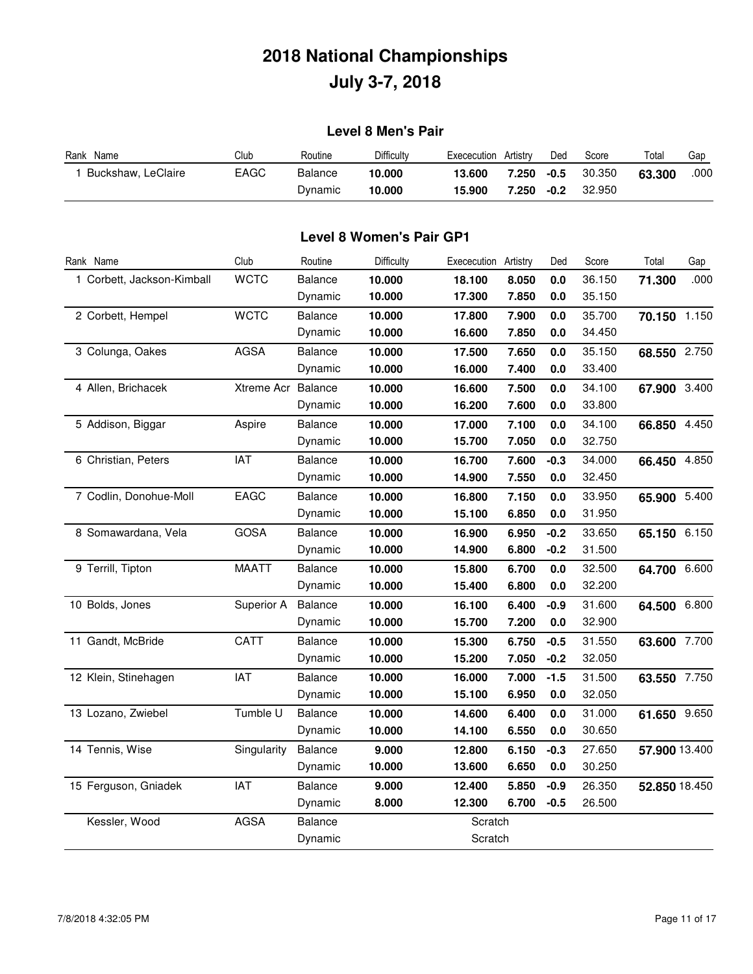### **Level 8 Men's Pair**

| Rank Name          | Club | Routine | Difficulty | Exececution | Artistry | Ded    | Score  | Total  | Gap  |
|--------------------|------|---------|------------|-------------|----------|--------|--------|--------|------|
| Buckshaw, LeClaire | EAGC | Balance | 10.000     | 13.600      | 7.250    | -0.5   | 30.350 | 63.300 | .000 |
|                    |      | Dynamic | 10.000     | 15.900      | 7.250    | $-0.2$ | 32,950 |        |      |

#### **Level 8 Women's Pair GP1**

| Rank Name                  | Club               | Routine        | Difficulty | Exececution | Artistry | Ded    | Score  | Total         | Gap  |
|----------------------------|--------------------|----------------|------------|-------------|----------|--------|--------|---------------|------|
| 1 Corbett, Jackson-Kimball | <b>WCTC</b>        | Balance        | 10.000     | 18.100      | 8.050    | 0.0    | 36.150 | 71.300        | .000 |
|                            |                    | Dynamic        | 10.000     | 17.300      | 7.850    | 0.0    | 35.150 |               |      |
| 2 Corbett, Hempel          | <b>WCTC</b>        | <b>Balance</b> | 10.000     | 17.800      | 7.900    | 0.0    | 35.700 | 70.150 1.150  |      |
|                            |                    | Dynamic        | 10.000     | 16.600      | 7.850    | 0.0    | 34.450 |               |      |
| 3 Colunga, Oakes           | <b>AGSA</b>        | <b>Balance</b> | 10.000     | 17.500      | 7.650    | 0.0    | 35.150 | 68.550 2.750  |      |
|                            |                    | Dynamic        | 10.000     | 16.000      | 7.400    | 0.0    | 33.400 |               |      |
| 4 Allen, Brichacek         | Xtreme Acr Balance |                | 10.000     | 16.600      | 7.500    | 0.0    | 34.100 | 67.900 3.400  |      |
|                            |                    | Dynamic        | 10.000     | 16.200      | 7.600    | 0.0    | 33.800 |               |      |
| 5 Addison, Biggar          | Aspire             | <b>Balance</b> | 10.000     | 17.000      | 7.100    | 0.0    | 34.100 | 66.850 4.450  |      |
|                            |                    | Dynamic        | 10.000     | 15.700      | 7.050    | 0.0    | 32.750 |               |      |
| 6 Christian, Peters        | IAT                | <b>Balance</b> | 10.000     | 16.700      | 7.600    | $-0.3$ | 34.000 | 66.450 4.850  |      |
|                            |                    | Dynamic        | 10.000     | 14.900      | 7.550    | 0.0    | 32.450 |               |      |
| 7 Codlin, Donohue-Moll     | EAGC               | <b>Balance</b> | 10.000     | 16.800      | 7.150    | 0.0    | 33.950 | 65.900 5.400  |      |
|                            |                    | Dynamic        | 10.000     | 15.100      | 6.850    | 0.0    | 31.950 |               |      |
| 8 Somawardana, Vela        | <b>GOSA</b>        | <b>Balance</b> | 10.000     | 16.900      | 6.950    | $-0.2$ | 33.650 | 65.150 6.150  |      |
|                            |                    | Dynamic        | 10.000     | 14.900      | 6.800    | $-0.2$ | 31.500 |               |      |
| 9 Terrill, Tipton          | <b>MAATT</b>       | <b>Balance</b> | 10.000     | 15.800      | 6.700    | 0.0    | 32.500 | 64.700 6.600  |      |
|                            |                    | Dynamic        | 10.000     | 15.400      | 6.800    | 0.0    | 32.200 |               |      |
| 10 Bolds, Jones            | Superior A         | Balance        | 10.000     | 16.100      | 6.400    | $-0.9$ | 31.600 | 64.500 6.800  |      |
|                            |                    | Dynamic        | 10.000     | 15.700      | 7.200    | 0.0    | 32.900 |               |      |
| 11 Gandt, McBride          | <b>CATT</b>        | <b>Balance</b> | 10.000     | 15.300      | 6.750    | $-0.5$ | 31.550 | 63.600 7.700  |      |
|                            |                    | Dynamic        | 10.000     | 15.200      | 7.050    | $-0.2$ | 32.050 |               |      |
| 12 Klein, Stinehagen       | IAT                | <b>Balance</b> | 10.000     | 16.000      | 7.000    | $-1.5$ | 31.500 | 63.550 7.750  |      |
|                            |                    | Dynamic        | 10.000     | 15.100      | 6.950    | 0.0    | 32.050 |               |      |
| 13 Lozano, Zwiebel         | Tumble U           | <b>Balance</b> | 10.000     | 14.600      | 6.400    | 0.0    | 31.000 | 61.650 9.650  |      |
|                            |                    | Dynamic        | 10.000     | 14.100      | 6.550    | 0.0    | 30.650 |               |      |
| 14 Tennis, Wise            | Singularity        | Balance        | 9.000      | 12.800      | 6.150    | $-0.3$ | 27.650 | 57.900 13.400 |      |
|                            |                    | Dynamic        | 10.000     | 13.600      | 6.650    | 0.0    | 30.250 |               |      |
| 15 Ferguson, Gniadek       | IAT                | <b>Balance</b> | 9.000      | 12.400      | 5.850    | $-0.9$ | 26.350 | 52.850 18.450 |      |
|                            |                    | Dynamic        | 8.000      | 12.300      | 6.700    | $-0.5$ | 26.500 |               |      |
| Kessler, Wood              | <b>AGSA</b>        | <b>Balance</b> |            | Scratch     |          |        |        |               |      |
|                            |                    | Dynamic        |            | Scratch     |          |        |        |               |      |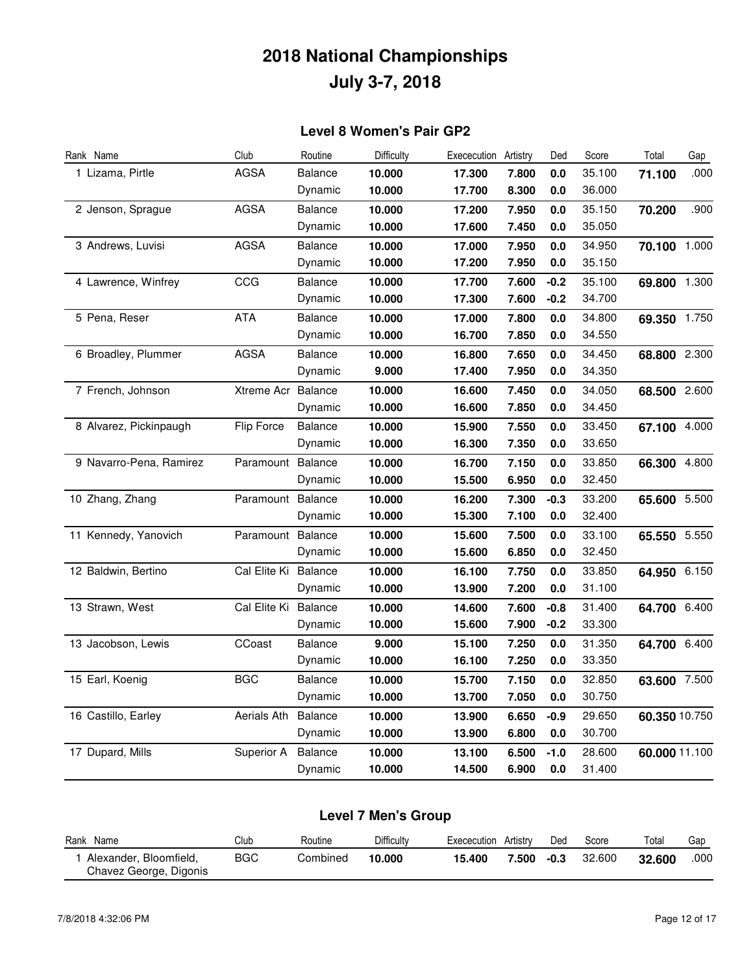#### **Level 8 Women's Pair GP2**

| Rank Name               | Club               | Routine        | Difficulty | Exececution | Artistry | Ded     | Score  | Total         | Gap   |
|-------------------------|--------------------|----------------|------------|-------------|----------|---------|--------|---------------|-------|
| 1 Lizama, Pirtle        | <b>AGSA</b>        | Balance        | 10.000     | 17.300      | 7.800    | $0.0\,$ | 35.100 | 71.100        | .000  |
|                         |                    | Dynamic        | 10.000     | 17.700      | 8.300    | 0.0     | 36.000 |               |       |
| 2 Jenson, Sprague       | <b>AGSA</b>        | Balance        | 10.000     | 17.200      | 7.950    | 0.0     | 35.150 | 70.200        | .900  |
|                         |                    | Dynamic        | 10.000     | 17.600      | 7.450    | 0.0     | 35.050 |               |       |
| 3 Andrews, Luvisi       | <b>AGSA</b>        | Balance        | 10.000     | 17.000      | 7.950    | 0.0     | 34.950 | 70.100        | 1.000 |
|                         |                    | Dynamic        | 10.000     | 17.200      | 7.950    | 0.0     | 35.150 |               |       |
| 4 Lawrence, Winfrey     | CCG                | Balance        | 10.000     | 17.700      | 7.600    | $-0.2$  | 35.100 | 69.800 1.300  |       |
|                         |                    | Dynamic        | 10.000     | 17.300      | 7.600    | $-0.2$  | 34.700 |               |       |
| 5 Pena, Reser           | <b>ATA</b>         | Balance        | 10.000     | 17.000      | 7.800    | 0.0     | 34.800 | 69.350 1.750  |       |
|                         |                    | Dynamic        | 10.000     | 16.700      | 7.850    | 0.0     | 34.550 |               |       |
| 6 Broadley, Plummer     | <b>AGSA</b>        | Balance        | 10.000     | 16.800      | 7.650    | 0.0     | 34.450 | 68.800 2.300  |       |
|                         |                    | Dynamic        | 9.000      | 17.400      | 7.950    | 0.0     | 34.350 |               |       |
| 7 French, Johnson       | Xtreme Acr Balance |                | 10.000     | 16.600      | 7.450    | 0.0     | 34.050 | 68.500 2.600  |       |
|                         |                    | Dynamic        | 10.000     | 16.600      | 7.850    | 0.0     | 34.450 |               |       |
| 8 Alvarez, Pickinpaugh  | Flip Force         | Balance        | 10.000     | 15.900      | 7.550    | 0.0     | 33.450 | 67.100 4.000  |       |
|                         |                    | Dynamic        | 10.000     | 16.300      | 7.350    | 0.0     | 33.650 |               |       |
| 9 Navarro-Pena, Ramirez | Paramount Balance  |                | 10.000     | 16.700      | 7.150    | 0.0     | 33.850 | 66.300 4.800  |       |
|                         |                    | Dynamic        | 10.000     | 15.500      | 6.950    | 0.0     | 32.450 |               |       |
| 10 Zhang, Zhang         | Paramount          | Balance        | 10.000     | 16.200      | 7.300    | -0.3    | 33.200 | 65.600        | 5.500 |
|                         |                    | Dynamic        | 10.000     | 15.300      | 7.100    | 0.0     | 32.400 |               |       |
| 11 Kennedy, Yanovich    | Paramount Balance  |                | 10.000     | 15.600      | 7.500    | 0.0     | 33.100 | 65.550 5.550  |       |
|                         |                    | Dynamic        | 10.000     | 15.600      | 6.850    | 0.0     | 32.450 |               |       |
| 12 Baldwin, Bertino     | Cal Elite Ki       | Balance        | 10.000     | 16.100      | 7.750    | 0.0     | 33.850 | 64.950 6.150  |       |
|                         |                    | Dynamic        | 10.000     | 13.900      | 7.200    | 0.0     | 31.100 |               |       |
| 13 Strawn, West         | Cal Elite Ki       | Balance        | 10.000     | 14.600      | 7.600    | $-0.8$  | 31.400 | 64.700 6.400  |       |
|                         |                    | Dynamic        | 10.000     | 15.600      | 7.900    | $-0.2$  | 33.300 |               |       |
| 13 Jacobson, Lewis      | CCoast             | <b>Balance</b> | 9.000      | 15.100      | 7.250    | 0.0     | 31.350 | 64.700 6.400  |       |
|                         |                    | Dynamic        | 10.000     | 16.100      | 7.250    | 0.0     | 33.350 |               |       |
| 15 Earl, Koenig         | <b>BGC</b>         | Balance        | 10.000     | 15.700      | 7.150    | 0.0     | 32.850 | 63.600 7.500  |       |
|                         |                    | Dynamic        | 10.000     | 13.700      | 7.050    | 0.0     | 30.750 |               |       |
| 16 Castillo, Earley     | Aerials Ath        | Balance        | 10.000     | 13.900      | 6.650    | $-0.9$  | 29.650 | 60.350 10.750 |       |
|                         |                    | Dynamic        | 10.000     | 13.900      | 6.800    | 0.0     | 30.700 |               |       |
| 17 Dupard, Mills        | Superior A         | <b>Balance</b> | 10.000     | 13.100      | 6.500    | -1.0    | 28.600 | 60.000 11.100 |       |
|                         |                    | Dynamic        | 10.000     | 14.500      | 6.900    | 0.0     | 31.400 |               |       |

| Level 7 Men's Group    |            |          |            |                      |       |        |        |        |      |  |  |
|------------------------|------------|----------|------------|----------------------|-------|--------|--------|--------|------|--|--|
| Rank Name              | Club       | Routine  | Difficulty | Exececution Artistry |       | Ded    | Score  | Total  | Gap  |  |  |
| Alexander, Bloomfield, | <b>BGC</b> | Combined | 10.000     | 15.400               | 7.500 | $-0.3$ | 32.600 | 32.600 | .000 |  |  |

#### 7/8/2018 4:32:06 PM Page 12 of 17

Chavez George, Digonis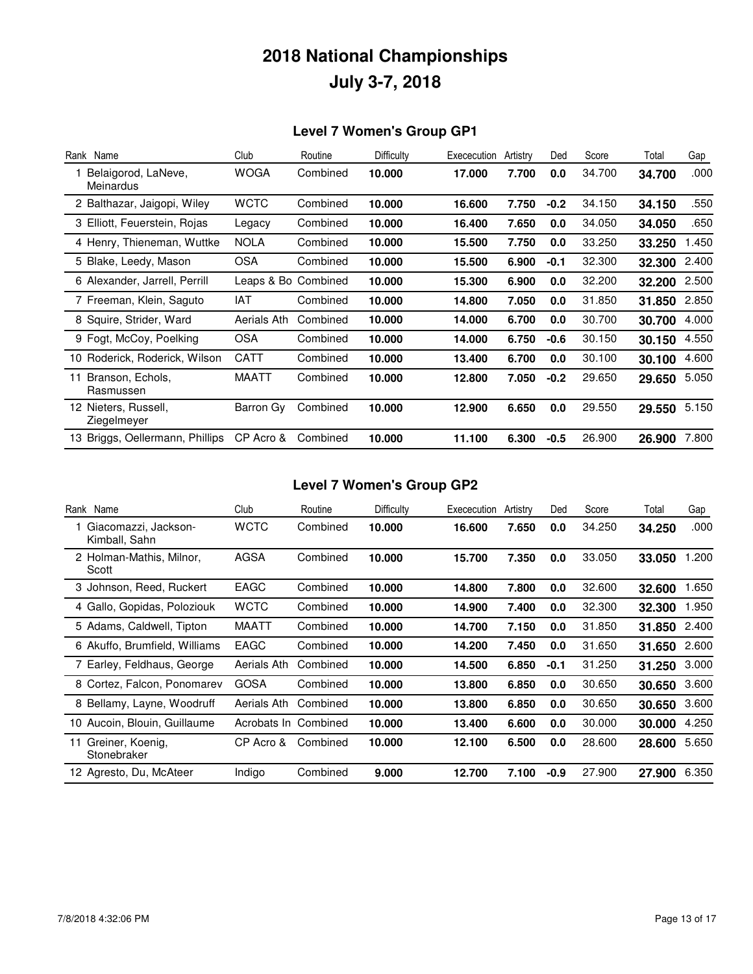### **Level 7 Women's Group GP1**

| Rank Name                           |     | Club         | Routine             | Difficulty | Exececution | Artistry | Ded    | Score  | Total  | Gap   |
|-------------------------------------|-----|--------------|---------------------|------------|-------------|----------|--------|--------|--------|-------|
| Belaigorod, LaNeve,<br>Meinardus    |     | <b>WOGA</b>  | Combined            | 10.000     | 17.000      | 7.700    | 0.0    | 34.700 | 34.700 | .000  |
| 2 Balthazar, Jaigopi, Wiley         |     | <b>WCTC</b>  | Combined            | 10.000     | 16.600      | 7.750    | $-0.2$ | 34.150 | 34.150 | .550  |
| 3 Elliott, Feuerstein, Rojas        |     | Legacy       | Combined            | 10.000     | 16.400      | 7.650    | 0.0    | 34.050 | 34.050 | .650  |
| 4 Henry, Thieneman, Wuttke          |     | <b>NOLA</b>  | Combined            | 10.000     | 15.500      | 7.750    | 0.0    | 33.250 | 33.250 | 1.450 |
| 5 Blake, Leedy, Mason               |     | <b>OSA</b>   | Combined            | 10.000     | 15.500      | 6.900    | -0.1   | 32.300 | 32.300 | 2.400 |
| 6 Alexander, Jarrell, Perrill       |     |              | Leaps & Bo Combined | 10.000     | 15.300      | 6.900    | 0.0    | 32.200 | 32.200 | 2.500 |
| 7 Freeman, Klein, Saguto            | IAT |              | Combined            | 10.000     | 14.800      | 7.050    | 0.0    | 31.850 | 31.850 | 2.850 |
| 8 Squire, Strider, Ward             |     | Aerials Ath  | Combined            | 10.000     | 14.000      | 6.700    | 0.0    | 30.700 | 30.700 | 4.000 |
| 9 Fogt, McCoy, Poelking             |     | <b>OSA</b>   | Combined            | 10.000     | 14.000      | 6.750    | $-0.6$ | 30.150 | 30.150 | 4.550 |
| Roderick, Roderick, Wilson<br>10    |     | <b>CATT</b>  | Combined            | 10.000     | 13.400      | 6.700    | 0.0    | 30.100 | 30.100 | 4.600 |
| Branson, Echols,<br>11<br>Rasmussen |     | <b>MAATT</b> | Combined            | 10.000     | 12.800      | 7.050    | $-0.2$ | 29.650 | 29.650 | 5.050 |
| 12 Nieters, Russell,<br>Ziegelmeyer |     | Barron Gy    | Combined            | 10.000     | 12.900      | 6.650    | 0.0    | 29.550 | 29.550 | 5.150 |
| 13 Briggs, Oellermann, Phillips     |     | CP Acro &    | Combined            | 10.000     | 11.100      | 6.300    | $-0.5$ | 26.900 | 26.900 | 7.800 |

### **Level 7 Women's Group GP2**

| Rank Name                             | Club         | Routine  | Difficulty | Exececution | Artistry | Ded    | Score  | Total  | Gap   |
|---------------------------------------|--------------|----------|------------|-------------|----------|--------|--------|--------|-------|
| Giacomazzi, Jackson-<br>Kimball, Sahn | <b>WCTC</b>  | Combined | 10.000     | 16.600      | 7.650    | 0.0    | 34.250 | 34.250 | .000  |
| 2 Holman-Mathis, Milnor,<br>Scott     | AGSA         | Combined | 10.000     | 15.700      | 7.350    | 0.0    | 33.050 | 33.050 | 1.200 |
| 3 Johnson, Reed, Ruckert              | EAGC         | Combined | 10.000     | 14.800      | 7.800    | 0.0    | 32.600 | 32.600 | 1.650 |
| 4 Gallo, Gopidas, Poloziouk           | <b>WCTC</b>  | Combined | 10.000     | 14.900      | 7.400    | 0.0    | 32,300 | 32,300 | 1.950 |
| 5 Adams, Caldwell, Tipton             | <b>MAATT</b> | Combined | 10.000     | 14.700      | 7.150    | 0.0    | 31.850 | 31.850 | 2.400 |
| 6 Akuffo, Brumfield, Williams         | <b>EAGC</b>  | Combined | 10.000     | 14.200      | 7.450    | 0.0    | 31.650 | 31.650 | 2.600 |
| 7 Earley, Feldhaus, George            | Aerials Ath  | Combined | 10.000     | 14.500      | 6.850    | $-0.1$ | 31.250 | 31.250 | 3.000 |
| 8 Cortez, Falcon, Ponomarev           | GOSA         | Combined | 10.000     | 13.800      | 6.850    | 0.0    | 30.650 | 30.650 | 3.600 |
| 8 Bellamy, Layne, Woodruff            | Aerials Ath  | Combined | 10.000     | 13.800      | 6.850    | 0.0    | 30.650 | 30.650 | 3.600 |
| 10 Aucoin, Blouin, Guillaume          | Acrobats In  | Combined | 10.000     | 13.400      | 6.600    | 0.0    | 30.000 | 30.000 | 4.250 |
| Greiner, Koenig,<br>11<br>Stonebraker | CP Acro &    | Combined | 10.000     | 12.100      | 6.500    | 0.0    | 28.600 | 28.600 | 5.650 |
| 12 Agresto, Du, McAteer               | Indigo       | Combined | 9.000      | 12.700      | 7.100    | $-0.9$ | 27.900 | 27.900 | 6.350 |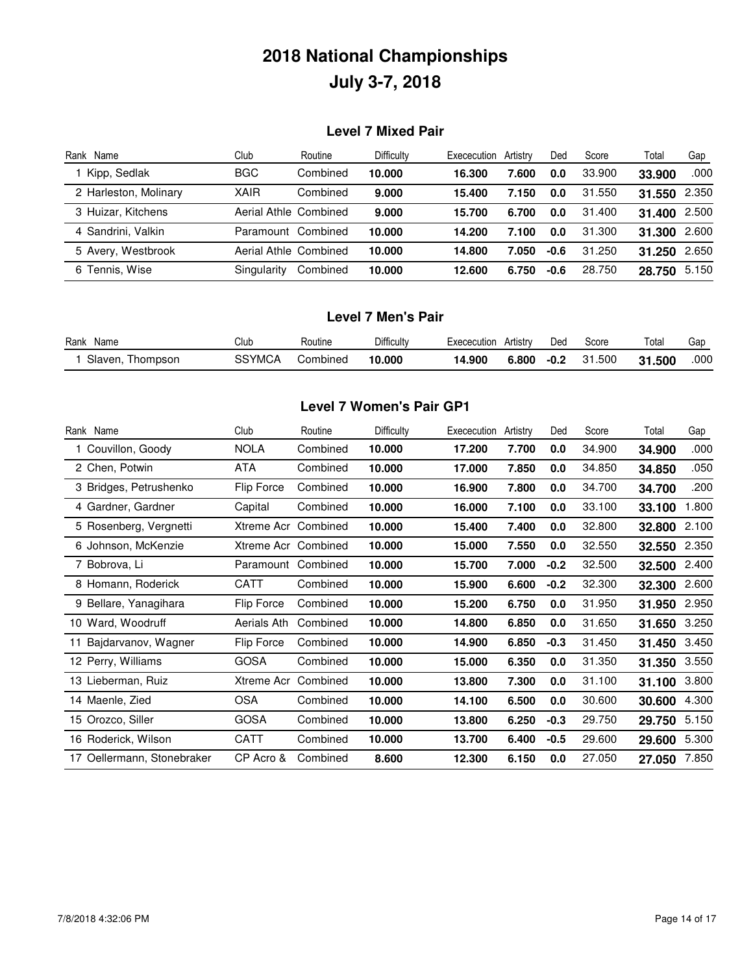#### **Level 7 Mixed Pair**

| Rank<br>Name          | Club                  | Routine  | Difficulty | Exececution | Artistry | Ded    | Score  | Total  | Gap   |
|-----------------------|-----------------------|----------|------------|-------------|----------|--------|--------|--------|-------|
| Kipp, Sedlak          | <b>BGC</b>            | Combined | 10.000     | 16.300      | 7.600    | 0.0    | 33.900 | 33.900 | .000  |
| 2 Harleston, Molinary | <b>XAIR</b>           | Combined | 9.000      | 15.400      | 7.150    | 0.0    | 31.550 | 31.550 | 2.350 |
| 3 Huizar, Kitchens    | Aerial Athle Combined |          | 9.000      | 15.700      | 6.700    | 0.0    | 31.400 | 31.400 | 2.500 |
| 4 Sandrini, Valkin    | Paramount Combined    |          | 10.000     | 14.200      | 7.100    | 0.0    | 31.300 | 31.300 | 2.600 |
| 5 Avery, Westbrook    | Aerial Athle Combined |          | 10.000     | 14.800      | 7.050    | $-0.6$ | 31.250 | 31.250 | 2.650 |
| 6 Tennis, Wise        | Singularity           | Combined | 10.000     | 12.600      | 6.750    | $-0.6$ | 28.750 | 28.750 | 5.150 |

#### **Level 7 Men's Pair**

| Rank<br>Name         | Club   | Routine  | Difficulty | Exececution | Artistrv | Ded    | Score | Total  | Gar  |
|----------------------|--------|----------|------------|-------------|----------|--------|-------|--------|------|
| Slaven.<br>l hompson | SSYMCA | Combined | 10.000     | 14.900      | 6.800    | $-0.2$ | 1.500 | 31.500 | .000 |

### **Level 7 Women's Pair GP1**

| Rank Name                  | Club        | Routine  | Difficulty | Exececution | Artistry | Ded    | Score  | Total  | Gap   |
|----------------------------|-------------|----------|------------|-------------|----------|--------|--------|--------|-------|
| 1 Couvillon, Goody         | <b>NOLA</b> | Combined | 10.000     | 17.200      | 7.700    | 0.0    | 34.900 | 34.900 | .000  |
| 2 Chen, Potwin             | ATA         | Combined | 10.000     | 17.000      | 7.850    | 0.0    | 34.850 | 34.850 | .050  |
| 3 Bridges, Petrushenko     | Flip Force  | Combined | 10.000     | 16.900      | 7.800    | 0.0    | 34.700 | 34.700 | .200  |
| 4 Gardner, Gardner         | Capital     | Combined | 10.000     | 16.000      | 7.100    | 0.0    | 33.100 | 33.100 | 1.800 |
| 5 Rosenberg, Vergnetti     | Xtreme Acr  | Combined | 10.000     | 15.400      | 7.400    | 0.0    | 32.800 | 32.800 | 2.100 |
| 6 Johnson, McKenzie        | Xtreme Acr  | Combined | 10.000     | 15.000      | 7.550    | 0.0    | 32.550 | 32.550 | 2.350 |
| 7 Bobrova, Li              | Paramount   | Combined | 10.000     | 15.700      | 7.000    | $-0.2$ | 32.500 | 32.500 | 2.400 |
| 8 Homann, Roderick         | <b>CATT</b> | Combined | 10.000     | 15.900      | 6.600    | $-0.2$ | 32.300 | 32.300 | 2.600 |
| 9 Bellare, Yanagihara      | Flip Force  | Combined | 10.000     | 15.200      | 6.750    | 0.0    | 31.950 | 31.950 | 2.950 |
| 10 Ward, Woodruff          | Aerials Ath | Combined | 10.000     | 14.800      | 6.850    | 0.0    | 31.650 | 31.650 | 3.250 |
| 11 Bajdarvanov, Wagner     | Flip Force  | Combined | 10.000     | 14.900      | 6.850    | $-0.3$ | 31.450 | 31.450 | 3.450 |
| 12 Perry, Williams         | <b>GOSA</b> | Combined | 10.000     | 15.000      | 6.350    | 0.0    | 31.350 | 31.350 | 3.550 |
| 13 Lieberman, Ruiz         | Xtreme Acr  | Combined | 10.000     | 13.800      | 7.300    | 0.0    | 31.100 | 31.100 | 3.800 |
| 14 Maenle, Zied            | <b>OSA</b>  | Combined | 10.000     | 14.100      | 6.500    | 0.0    | 30.600 | 30.600 | 4.300 |
| 15 Orozco, Siller          | <b>GOSA</b> | Combined | 10.000     | 13.800      | 6.250    | $-0.3$ | 29.750 | 29.750 | 5.150 |
| 16 Roderick, Wilson        | CATT        | Combined | 10.000     | 13.700      | 6.400    | $-0.5$ | 29.600 | 29.600 | 5.300 |
| 17 Oellermann, Stonebraker | CP Acro &   | Combined | 8.600      | 12.300      | 6.150    | 0.0    | 27.050 | 27.050 | 7.850 |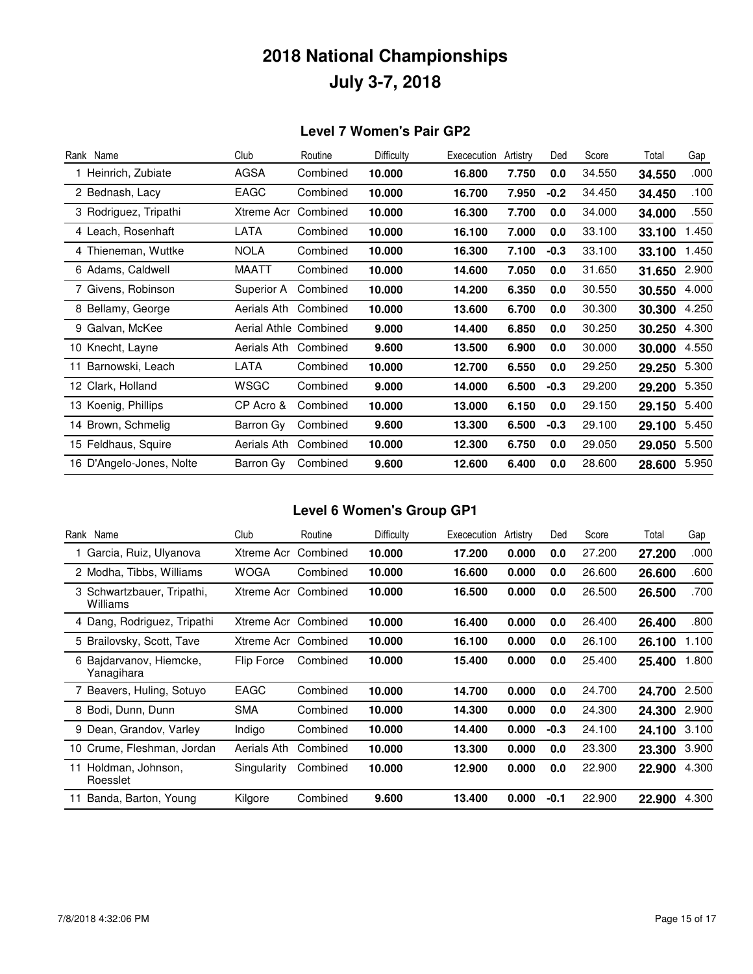#### **Level 7 Women's Pair GP2**

| Rank Name                | Club                  | Routine  | Difficulty | Exececution | Artistry | Ded    | Score  | Total  | Gap   |
|--------------------------|-----------------------|----------|------------|-------------|----------|--------|--------|--------|-------|
| 1 Heinrich, Zubiate      | AGSA                  | Combined | 10.000     | 16.800      | 7.750    | 0.0    | 34.550 | 34.550 | .000  |
| 2 Bednash, Lacy          | EAGC                  | Combined | 10.000     | 16.700      | 7.950    | $-0.2$ | 34.450 | 34.450 | .100  |
| 3 Rodriguez, Tripathi    | Xtreme Acr            | Combined | 10.000     | 16.300      | 7.700    | 0.0    | 34.000 | 34.000 | .550  |
| 4 Leach, Rosenhaft       | LATA                  | Combined | 10.000     | 16.100      | 7.000    | 0.0    | 33.100 | 33.100 | 1.450 |
| 4 Thieneman, Wuttke      | <b>NOLA</b>           | Combined | 10.000     | 16.300      | 7.100    | $-0.3$ | 33.100 | 33.100 | 1.450 |
| 6 Adams, Caldwell        | MAATT                 | Combined | 10.000     | 14.600      | 7.050    | 0.0    | 31.650 | 31.650 | 2.900 |
| 7 Givens, Robinson       | Superior A            | Combined | 10.000     | 14.200      | 6.350    | 0.0    | 30.550 | 30.550 | 4.000 |
| 8 Bellamy, George        | Aerials Ath           | Combined | 10.000     | 13.600      | 6.700    | 0.0    | 30.300 | 30.300 | 4.250 |
| 9 Galvan, McKee          | Aerial Athle Combined |          | 9.000      | 14.400      | 6.850    | 0.0    | 30.250 | 30.250 | 4.300 |
| 10 Knecht, Layne         | Aerials Ath           | Combined | 9.600      | 13.500      | 6.900    | 0.0    | 30.000 | 30.000 | 4.550 |
| Barnowski, Leach         | LATA                  | Combined | 10.000     | 12.700      | 6.550    | 0.0    | 29.250 | 29.250 | 5.300 |
| 12 Clark, Holland        | WSGC                  | Combined | 9.000      | 14.000      | 6.500    | $-0.3$ | 29.200 | 29.200 | 5.350 |
| 13 Koenig, Phillips      | CP Acro &             | Combined | 10.000     | 13.000      | 6.150    | 0.0    | 29.150 | 29.150 | 5.400 |
| 14 Brown, Schmelig       | Barron Gy             | Combined | 9.600      | 13.300      | 6.500    | $-0.3$ | 29.100 | 29.100 | 5.450 |
| 15 Feldhaus, Squire      | Aerials Ath           | Combined | 10.000     | 12.300      | 6.750    | 0.0    | 29.050 | 29.050 | 5.500 |
| 16 D'Angelo-Jones, Nolte | Barron Gy             | Combined | 9.600      | 12.600      | 6.400    | 0.0    | 28.600 | 28.600 | 5.950 |

### **Level 6 Women's Group GP1**

| Rank Name                              | Club        | Routine  | Difficulty | Exececution | Artistry | Ded    | Score  | Total  | Gap   |
|----------------------------------------|-------------|----------|------------|-------------|----------|--------|--------|--------|-------|
| 1 Garcia, Ruiz, Ulyanova               | Xtreme Acr  | Combined | 10.000     | 17.200      | 0.000    | 0.0    | 27.200 | 27.200 | .000  |
| 2 Modha, Tibbs, Williams               | <b>WOGA</b> | Combined | 10.000     | 16.600      | 0.000    | 0.0    | 26.600 | 26.600 | .600  |
| 3 Schwartzbauer, Tripathi,<br>Williams | Xtreme Acr  | Combined | 10.000     | 16.500      | 0.000    | 0.0    | 26.500 | 26.500 | .700  |
| 4 Dang, Rodriguez, Tripathi            | Xtreme Acr  | Combined | 10.000     | 16.400      | 0.000    | 0.0    | 26.400 | 26.400 | .800  |
| 5 Brailovsky, Scott, Tave              | Xtreme Acr  | Combined | 10.000     | 16.100      | 0.000    | 0.0    | 26.100 | 26.100 | 1.100 |
| 6 Bajdarvanov, Hiemcke,<br>Yanagihara  | Flip Force  | Combined | 10.000     | 15.400      | 0.000    | 0.0    | 25.400 | 25.400 | 1.800 |
| 7 Beavers, Huling, Sotuyo              | EAGC        | Combined | 10.000     | 14.700      | 0.000    | 0.0    | 24.700 | 24.700 | 2.500 |
| 8 Bodi, Dunn, Dunn                     | <b>SMA</b>  | Combined | 10.000     | 14.300      | 0.000    | 0.0    | 24.300 | 24.300 | 2.900 |
| 9 Dean, Grandov, Varley                | Indigo      | Combined | 10.000     | 14.400      | 0.000    | $-0.3$ | 24.100 | 24.100 | 3.100 |
| 10 Crume, Fleshman, Jordan             | Aerials Ath | Combined | 10.000     | 13.300      | 0.000    | 0.0    | 23.300 | 23.300 | 3.900 |
| Holdman, Johnson,<br>11<br>Roesslet    | Singularity | Combined | 10.000     | 12.900      | 0.000    | 0.0    | 22.900 | 22.900 | 4.300 |
| Banda, Barton, Young                   | Kilgore     | Combined | 9.600      | 13.400      | 0.000    | $-0.1$ | 22,900 | 22.900 | 4.300 |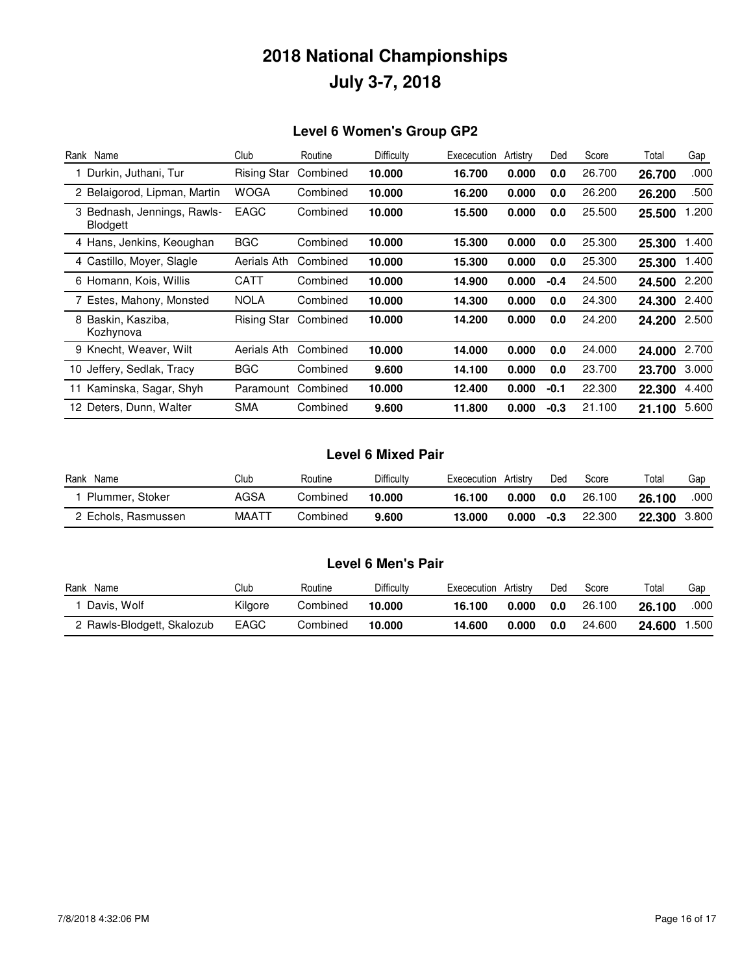### **Level 6 Women's Group GP2**

| Rank Name                                      | Club               | Routine  | Difficulty | Exececution | Artistry | Ded    | Score  | Total  | Gap   |
|------------------------------------------------|--------------------|----------|------------|-------------|----------|--------|--------|--------|-------|
| Durkin, Juthani, Tur                           | <b>Rising Star</b> | Combined | 10.000     | 16.700      | 0.000    | 0.0    | 26.700 | 26.700 | .000  |
| 2 Belaigorod, Lipman, Martin                   | <b>WOGA</b>        | Combined | 10.000     | 16.200      | 0.000    | 0.0    | 26,200 | 26.200 | .500  |
| 3 Bednash, Jennings, Rawls-<br><b>Blodgett</b> | <b>EAGC</b>        | Combined | 10.000     | 15.500      | 0.000    | 0.0    | 25.500 | 25.500 | 1.200 |
| 4 Hans, Jenkins, Keoughan                      | <b>BGC</b>         | Combined | 10.000     | 15.300      | 0.000    | 0.0    | 25.300 | 25,300 | 1.400 |
| 4 Castillo, Moyer, Slagle                      | Aerials Ath        | Combined | 10.000     | 15.300      | 0.000    | 0.0    | 25,300 | 25.300 | 1.400 |
| 6 Homann, Kois, Willis                         | CATT               | Combined | 10.000     | 14.900      | 0.000    | $-0.4$ | 24.500 | 24.500 | 2.200 |
| 7 Estes, Mahony, Monsted                       | <b>NOLA</b>        | Combined | 10.000     | 14.300      | 0.000    | 0.0    | 24.300 | 24.300 | 2.400 |
| 8 Baskin, Kasziba,<br>Kozhynova                | <b>Rising Star</b> | Combined | 10.000     | 14.200      | 0.000    | 0.0    | 24.200 | 24.200 | 2.500 |
| 9 Knecht, Weaver, Wilt                         | Aerials Ath        | Combined | 10.000     | 14.000      | 0.000    | 0.0    | 24.000 | 24.000 | 2.700 |
| 10 Jeffery, Sedlak, Tracy                      | <b>BGC</b>         | Combined | 9.600      | 14.100      | 0.000    | 0.0    | 23.700 | 23.700 | 3.000 |
| 11 Kaminska, Sagar, Shyh                       | Paramount          | Combined | 10.000     | 12.400      | 0.000    | $-0.1$ | 22.300 | 22.300 | 4.400 |
| 12 Deters, Dunn, Walter                        | <b>SMA</b>         | Combined | 9.600      | 11.800      | 0.000    | $-0.3$ | 21.100 | 21.100 | 5.600 |

### **Level 6 Mixed Pair**

| Rank<br>Name        | Club        | Routine  | Difficulty | Exececution | Artistry | Ded  | Score  | Total  | Gap   |
|---------------------|-------------|----------|------------|-------------|----------|------|--------|--------|-------|
| Plummer, Stoker     | AGSA        | Combined | 10.000     | 16.100      | 0.000    | 0.0  | 26.100 | 26.100 | .000  |
| 2 Echols, Rasmussen | <b>MAAT</b> | Combined | 9.600      | 13.000      | 0.000    | -0.3 | 22,300 | 22.300 | 3.800 |

### **Level 6 Men's Pair**

| Rank<br>Name               | Club        | Routine  | Difficulty | Exececution | Artistry | Ded | Score  | Total  | Gap  |
|----------------------------|-------------|----------|------------|-------------|----------|-----|--------|--------|------|
| Davis, Wolf                | Kilaore     | Combined | 10.000     | 16.100      | 0.000    | 0.0 | 26.100 | 26.100 | .000 |
| 2 Rawls-Blodgett, Skalozub | <b>EAGC</b> | Combined | 10.000     | 14.600      | 0.000    | 0.0 | 24.600 | 24.600 | .500 |